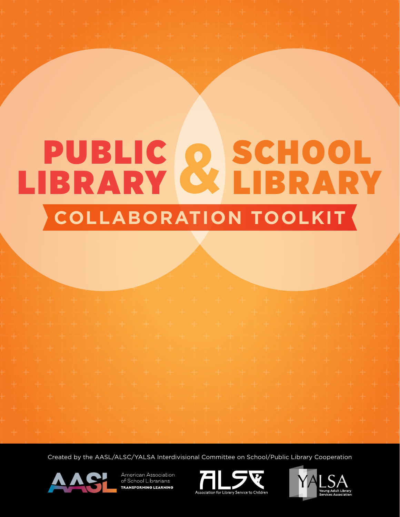# PUBLIC O SCHOOL LIBRARY SCHOOL **&** LIBRARY **COLLABORATION TOOLKIT**

Created by the AASL/ALSC/YALSA Interdivisional Committee on School/Public Library Cooperation





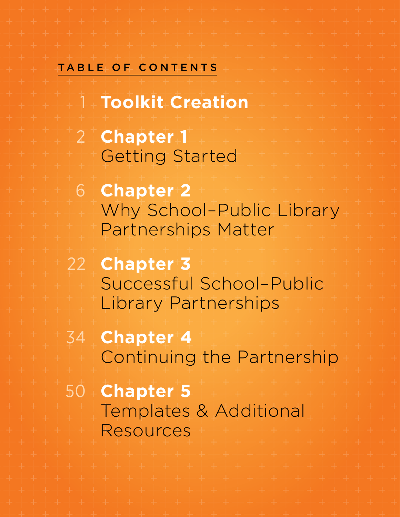## <span id="page-1-0"></span>TABLE OF CONTEN

1 **[Toolkit Creation](#page-2-0)** 2 **[Chapter 1](#page-3-0)** [Getting Started](#page-3-0) 6 **[Chapter 2](#page-7-0)** [Why School–Public Library](#page-7-0)  [Partnerships Matter](#page-7-0) 22 **[Chapter 3](#page-23-0)** [Successful School–Public](#page-23-0)  [Library Partnerships](#page-23-0) 34 **[Chapter 4](#page-35-0)**

[Continuing the Partnership](#page-35-0)

50 **[Chapter 5](#page-51-0)** [Templates & Additional](#page-51-0)  [Resources](#page-51-0)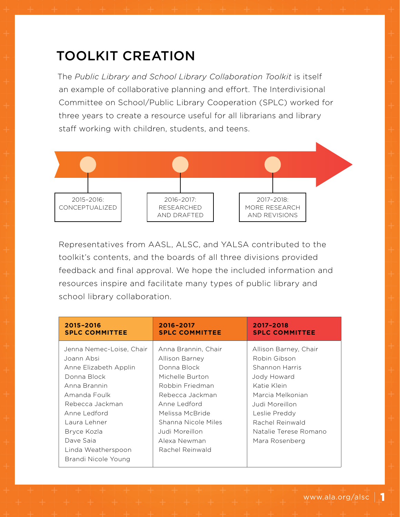# <span id="page-2-0"></span>TOOLKIT CREATION

The *Public Library and School Library Collaboration Toolkit* is itself an example of collaborative planning and effort. The Interdivisional Committee on School/Public Library Cooperation (SPLC) worked for three years to create a resource useful for all librarians and library staff working with children, students, and teens.



Representatives from AASL, ALSC, and YALSA contributed to the toolkit's contents, and the boards of all three divisions provided feedback and final approval. We hope the included information and resources inspire and facilitate many types of public library and school library collaboration.

| 2015-2016                                                                                                                                                                                                                                  | 2016-2017                                                                                                                                                                                                                    | 2017-2018                                                                                                                                                                                                  |
|--------------------------------------------------------------------------------------------------------------------------------------------------------------------------------------------------------------------------------------------|------------------------------------------------------------------------------------------------------------------------------------------------------------------------------------------------------------------------------|------------------------------------------------------------------------------------------------------------------------------------------------------------------------------------------------------------|
| <b>SPLC COMMITTEE</b>                                                                                                                                                                                                                      | <b>SPLC COMMITTEE</b>                                                                                                                                                                                                        | <b>SPLC COMMITTEE</b>                                                                                                                                                                                      |
| Jenna Nemec-Loise, Chair<br>Joann Absi<br>Anne Elizabeth Applin<br>Donna Block<br>Anna Brannin<br>Amanda Foulk<br>Rebecca Jackman<br>Anne Ledford<br>Laura Lehner<br>Bryce Kozla<br>Dave Saia<br>Linda Weatherspoon<br>Brandi Nicole Young | Anna Brannin, Chair<br>Allison Barney<br>Donna Block<br>Michelle Burton<br>Robbin Friedman<br>Rebecca Jackman<br>Anne Ledford<br>Melissa McBride<br>Shanna Nicole Miles<br>Judi Moreillon<br>Alexa Newman<br>Rachel Reinwald | Allison Barney, Chair<br>Robin Gibson<br>Shannon Harris<br>Jody Howard<br>Katie Klein<br>Marcia Melkonian<br>Judi Moreillon<br>Leslie Preddy<br>Rachel Reinwald<br>Natalie Terese Romano<br>Mara Rosenberg |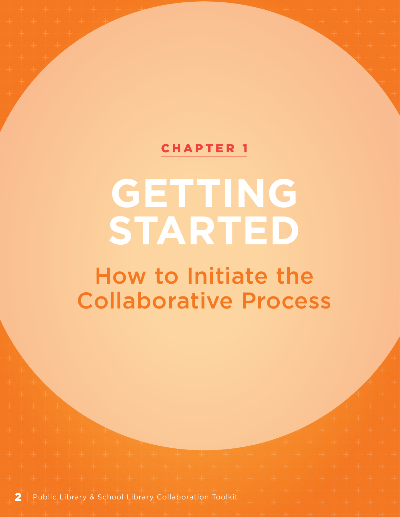## [CHAPTER 1](#page-1-0)

# <span id="page-3-0"></span>**GETTING STARTED**

How to Initiate the Collaborative Process

2 | Public Library & School Library Collaboration Toolkit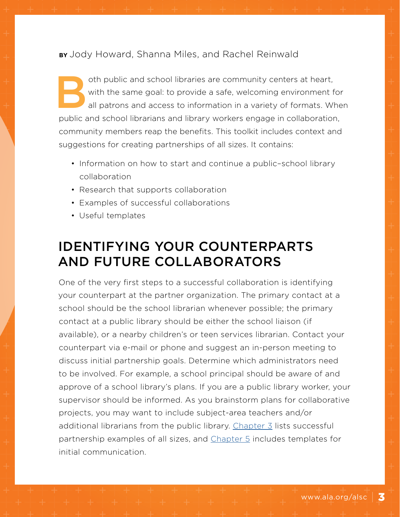**BY** Jody Howard, Shanna Miles, and Rachel Reinwald

oth public and school libraries are community centers at heart,<br>with the same goal: to provide a safe, welcoming environment f<br>all patrons and access to information in a variety of formats. When with the same goal: to provide a safe, welcoming environment for all patrons and access to information in a variety of formats. When public and school librarians and library workers engage in collaboration, community members reap the benefits. This toolkit includes context and suggestions for creating partnerships of all sizes. It contains:

- Information on how to start and continue a public-school library collaboration
- Research that supports collaboration
- Examples of successful collaborations
- Useful templates

# IDENTIFYING YOUR COUNTERPARTS AND FUTURE COLLABORATORS

One of the very first steps to a successful collaboration is identifying your counterpart at the partner organization. The primary contact at a school should be the school librarian whenever possible; the primary contact at a public library should be either the school liaison (if available), or a nearby children's or teen services librarian. Contact your counterpart via e-mail or phone and suggest an in-person meeting to discuss initial partnership goals. Determine which administrators need to be involved. For example, a school principal should be aware of and approve of a school library's plans. If you are a public library worker, your supervisor should be informed. As you brainstorm plans for collaborative projects, you may want to include subject-area teachers and/or additional librarians from the public library. [Chapter 3](#page-23-0) lists successful partnership examples of all sizes, and [Chapter 5](#page-51-0) includes templates for initial communication.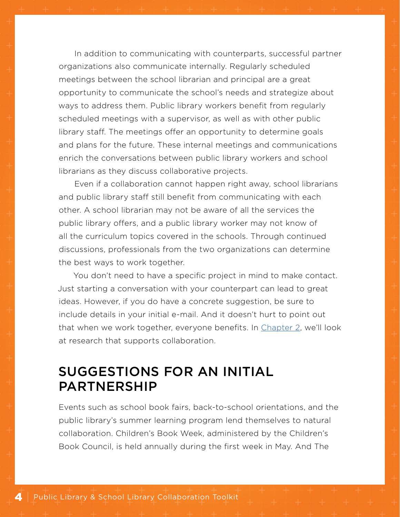In addition to communicating with counterparts, successful partner organizations also communicate internally. Regularly scheduled meetings between the school librarian and principal are a great opportunity to communicate the school's needs and strategize about ways to address them. Public library workers benefit from regularly scheduled meetings with a supervisor, as well as with other public library staff. The meetings offer an opportunity to determine goals and plans for the future. These internal meetings and communications enrich the conversations between public library workers and school librarians as they discuss collaborative projects.

Even if a collaboration cannot happen right away, school librarians and public library staff still benefit from communicating with each other. A school librarian may not be aware of all the services the public library offers, and a public library worker may not know of all the curriculum topics covered in the schools. Through continued discussions, professionals from the two organizations can determine the best ways to work together.

You don't need to have a specific project in mind to make contact. Just starting a conversation with your counterpart can lead to great ideas. However, if you do have a concrete suggestion, be sure to include details in your initial e-mail. And it doesn't hurt to point out that when we work together, everyone benefits. In C[hapter 2,](#page-7-0) we'll look at research that supports collaboration.

## SUGGESTIONS FOR AN INITIAL PARTNERSHIP

Events such as school book fairs, back-to-school orientations, and the public library's summer learning program lend themselves to natural collaboration. Children's Book Week, administered by the Children's Book Council, is held annually during the first week in May. And The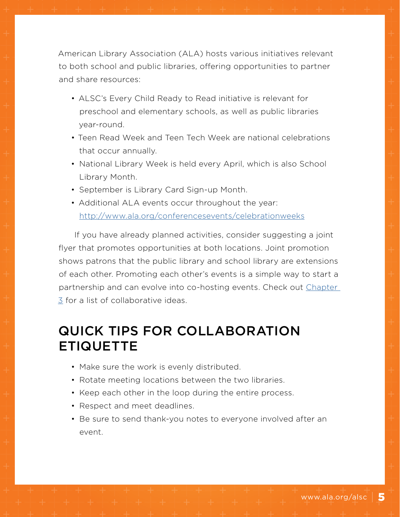American Library Association (ALA) hosts various initiatives relevant to both school and public libraries, offering opportunities to partner and share resources:

- ALSC's Every Child Ready to Read initiative is relevant for preschool and elementary schools, as well as public libraries year-round.
- Teen Read Week and Teen Tech Week are national celebrations that occur annually.
- National Library Week is held every April, which is also School Library Month.
- September is Library Card Sign-up Month.
- Additional ALA events occur throughout the year: <http://www.ala.org/conferencesevents/celebrationweeks>

If you have already planned activities, consider suggesting a joint flyer that promotes opportunities at both locations. Joint promotion shows patrons that the public library and school library are extensions of each other. Promoting each other's events is a simple way to start a partnership and can evolve into co-hosting events. Check out Chapter [3](#page-23-0) for a list of collaborative ideas.

# QUICK TIPS FOR COLLABORATION ETIQUETTE

- Make sure the work is evenly distributed.
- Rotate meeting locations between the two libraries.
- Keep each other in the loop during the entire process.
- Respect and meet deadlines.
- Be sure to send thank-you notes to everyone involved after an event.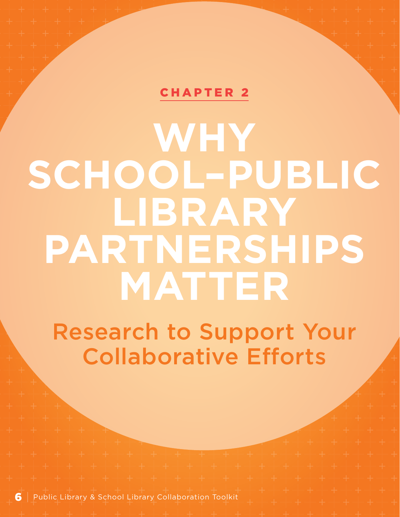## [CHAPTER 2](#page-1-0)

# <span id="page-7-0"></span>**WHY SCHOOL–PUBLIC LIBRARY PARTNERSHIPS MATTER**

Research to Support Your Collaborative Efforts

6 | Public Library & School Library Collaboration Toolkit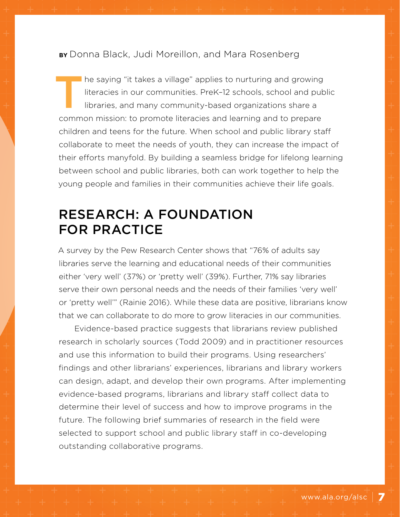**BY** Donna Black, Judi Moreillon, and Mara Rosenberg

he saying "it takes a village" applies to nurturing and growing literacies in our communities. PreK–12 schools, school and public libraries, and many community-based organizations share a common mission: to promote literacies and learning and to prepare children and teens for the future. When school and public library staff collaborate to meet the needs of youth, they can increase the impact of their efforts manyfold. By building a seamless bridge for lifelong learning between school and public libraries, both can work together to help the young people and families in their communities achieve their life goals.

# RESEARCH: A FOUNDATION FOR PRACTICE

A survey by the Pew Research Center shows that "76% of adults say libraries serve the learning and educational needs of their communities either 'very well' (37%) or 'pretty well' (39%). Further, 71% say libraries serve their own personal needs and the needs of their families 'very well' or 'pretty well'" (Rainie 2016). While these data are positive, librarians know that we can collaborate to do more to grow literacies in our communities.

Evidence-based practice suggests that librarians review published research in scholarly sources (Todd 2009) and in practitioner resources and use this information to build their programs. Using researchers' findings and other librarians' experiences, librarians and library workers can design, adapt, and develop their own programs. After implementing evidence-based programs, librarians and library staff collect data to determine their level of success and how to improve programs in the future. The following brief summaries of research in the field were selected to support school and public library staff in co-developing outstanding collaborative programs.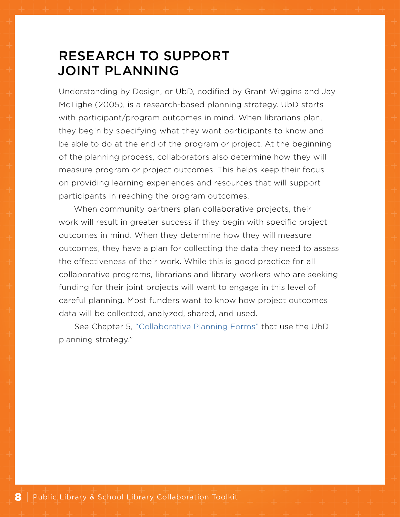## RESEARCH TO SUPPORT JOINT PLANNING

Understanding by Design, or UbD, codified by Grant Wiggins and Jay McTighe (2005), is a research-based planning strategy. UbD starts with participant/program outcomes in mind. When librarians plan, they begin by specifying what they want participants to know and be able to do at the end of the program or project. At the beginning of the planning process, collaborators also determine how they will measure program or project outcomes. This helps keep their focus on providing learning experiences and resources that will support participants in reaching the program outcomes.

When community partners plan collaborative projects, their work will result in greater success if they begin with specific project outcomes in mind. When they determine how they will measure outcomes, they have a plan for collecting the data they need to assess the effectiveness of their work. While this is good practice for all collaborative programs, librarians and library workers who are seeking funding for their joint projects will want to engage in this level of careful planning. Most funders want to know how project outcomes data will be collected, analyzed, shared, and used.

See Chapter 5, ["Collaborative Planning Forms"](#page-57-0) that use the UbD planning strategy."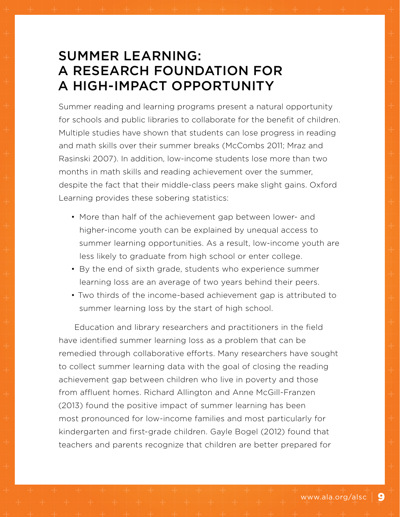# SUMMER LEARNING: A RESEARCH FOUNDATION FOR A HIGH-IMPACT OPPORTUNITY

Summer reading and learning programs present a natural opportunity for schools and public libraries to collaborate for the benefit of children. Multiple studies have shown that students can lose progress in reading and math skills over their summer breaks (McCombs 2011; Mraz and Rasinski 2007). In addition, low-income students lose more than two months in math skills and reading achievement over the summer, despite the fact that their middle-class peers make slight gains. Oxford Learning provides these sobering statistics:

- More than half of the achievement gap between lower- and higher-income youth can be explained by unequal access to summer learning opportunities. As a result, low-income youth are less likely to graduate from high school or enter college.
- By the end of sixth grade, students who experience summer learning loss are an average of two years behind their peers.
- Two thirds of the income-based achievement gap is attributed to summer learning loss by the start of high school.

Education and library researchers and practitioners in the field have identified summer learning loss as a problem that can be remedied through collaborative efforts. Many researchers have sought to collect summer learning data with the goal of closing the reading achievement gap between children who live in poverty and those from affluent homes. Richard Allington and Anne McGill-Franzen (2013) found the positive impact of summer learning has been most pronounced for low-income families and most particularly for kindergarten and first-grade children. Gayle Bogel (2012) found that teachers and parents recognize that children are better prepared for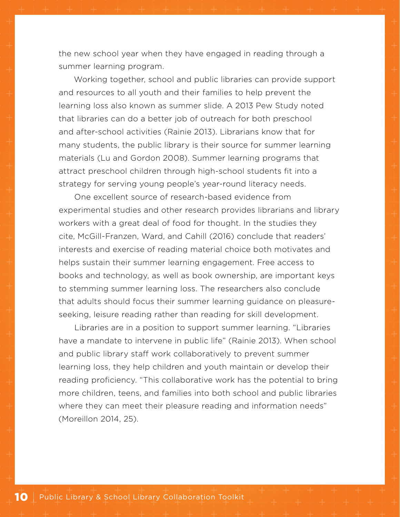the new school year when they have engaged in reading through a summer learning program.

Working together, school and public libraries can provide support and resources to all youth and their families to help prevent the learning loss also known as summer slide. A 2013 Pew Study noted that libraries can do a better job of outreach for both preschool and after-school activities (Rainie 2013). Librarians know that for many students, the public library is their source for summer learning materials (Lu and Gordon 2008). Summer learning programs that attract preschool children through high-school students fit into a strategy for serving young people's year-round literacy needs.

One excellent source of research-based evidence from experimental studies and other research provides librarians and library workers with a great deal of food for thought. In the studies they cite, McGill-Franzen, Ward, and Cahill (2016) conclude that readers' interests and exercise of reading material choice both motivates and helps sustain their summer learning engagement. Free access to books and technology, as well as book ownership, are important keys to stemming summer learning loss. The researchers also conclude that adults should focus their summer learning guidance on pleasureseeking, leisure reading rather than reading for skill development.

Libraries are in a position to support summer learning. "Libraries have a mandate to intervene in public life" (Rainie 2013). When school and public library staff work collaboratively to prevent summer learning loss, they help children and youth maintain or develop their reading proficiency. "This collaborative work has the potential to bring more children, teens, and families into both school and public libraries where they can meet their pleasure reading and information needs" (Moreillon 2014, 25).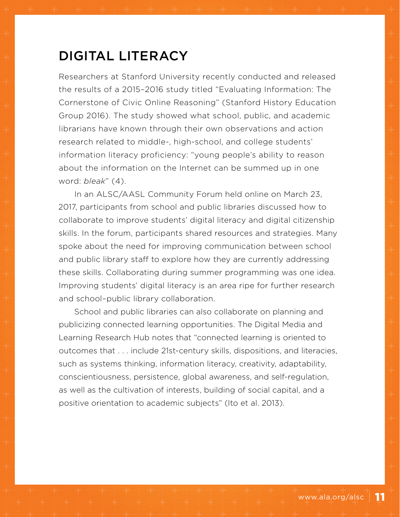## DIGITAL LITERACY

Researchers at Stanford University recently conducted and released the results of a 2015–2016 study titled "Evaluating Information: The Cornerstone of Civic Online Reasoning" (Stanford History Education Group 2016). The study showed what school, public, and academic librarians have known through their own observations and action research related to middle-, high-school, and college students' information literacy proficiency: "young people's ability to reason about the information on the Internet can be summed up in one word: *bleak*" (4).

In an ALSC/AASL Community Forum held online on March 23, 2017, participants from school and public libraries discussed how to collaborate to improve students' digital literacy and digital citizenship skills. In the forum, participants shared resources and strategies. Many spoke about the need for improving communication between school and public library staff to explore how they are currently addressing these skills. Collaborating during summer programming was one idea. Improving students' digital literacy is an area ripe for further research and school–public library collaboration.

School and public libraries can also collaborate on planning and publicizing connected learning opportunities. The Digital Media and Learning Research Hub notes that "connected learning is oriented to outcomes that . . . include 21st-century skills, dispositions, and literacies, such as systems thinking, information literacy, creativity, adaptability, conscientiousness, persistence, global awareness, and self-regulation, as well as the cultivation of interests, building of social capital, and a positive orientation to academic subjects" (Ito et al. 2013).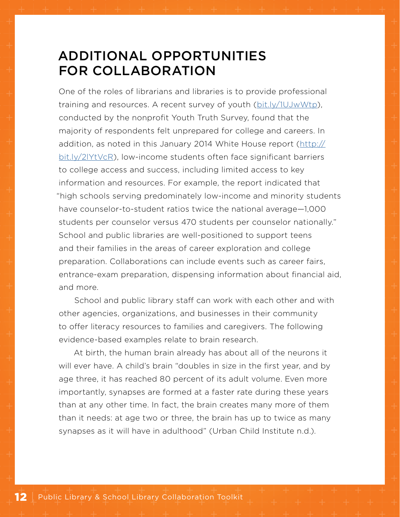## ADDITIONAL OPPORTUNITIES FOR COLLABORATION

One of the roles of librarians and libraries is to provide professional training and resources. A recent survey of youth [\(bit.ly/1UJwWtp\)](http://bit.ly/1UJwWtp), conducted by the nonprofit Youth Truth Survey, found that the majority of respondents felt unprepared for college and careers. In addition, as noted in this January 2014 White House report ([http://](http://bit.ly/2lYtVcR) [bit.ly/2lYtVcR\)](http://bit.ly/2lYtVcR), low-income students often face significant barriers to college access and success, including limited access to key information and resources. For example, the report indicated that "high schools serving predominately low-income and minority students have counselor-to-student ratios twice the national average—1,000 students per counselor versus 470 students per counselor nationally." School and public libraries are well-positioned to support teens and their families in the areas of career exploration and college preparation. Collaborations can include events such as career fairs, entrance-exam preparation, dispensing information about financial aid, and more.

School and public library staff can work with each other and with other agencies, organizations, and businesses in their community to offer literacy resources to families and caregivers. The following evidence-based examples relate to brain research.

At birth, the human brain already has about all of the neurons it will ever have. A child's brain "doubles in size in the first year, and by age three, it has reached 80 percent of its adult volume. Even more importantly, synapses are formed at a faster rate during these years than at any other time. In fact, the brain creates many more of them than it needs: at age two or three, the brain has up to twice as many synapses as it will have in adulthood" (Urban Child Institute n.d.).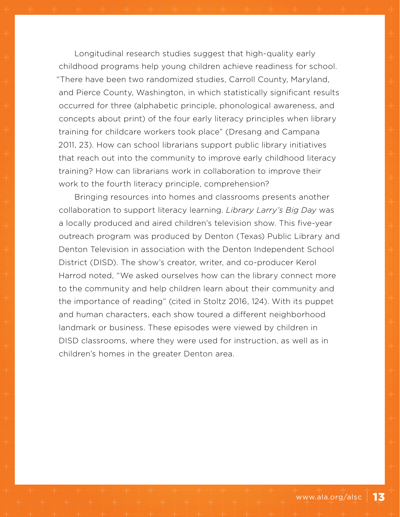Longitudinal research studies suggest that high-quality early childhood programs help young children achieve readiness for school. "There have been two randomized studies, Carroll County, Maryland, and Pierce County, Washington, in which statistically significant results occurred for three (alphabetic principle, phonological awareness, and concepts about print) of the four early literacy principles when library training for childcare workers took place" (Dresang and Campana 2011, 23). How can school librarians support public library initiatives that reach out into the community to improve early childhood literacy training? How can librarians work in collaboration to improve their work to the fourth literacy principle, comprehension?

Bringing resources into homes and classrooms presents another collaboration to support literacy learning. *Library Larry's Big Day* was a locally produced and aired children's television show. This five-year outreach program was produced by Denton (Texas) Public Library and Denton Television in association with the Denton Independent School District (DISD). The show's creator, writer, and co-producer Kerol Harrod noted, "We asked ourselves how can the library connect more to the community and help children learn about their community and the importance of reading" (cited in Stoltz 2016, 124). With its puppet and human characters, each show toured a different neighborhood landmark or business. These episodes were viewed by children in DISD classrooms, where they were used for instruction, as well as in children's homes in the greater Denton area.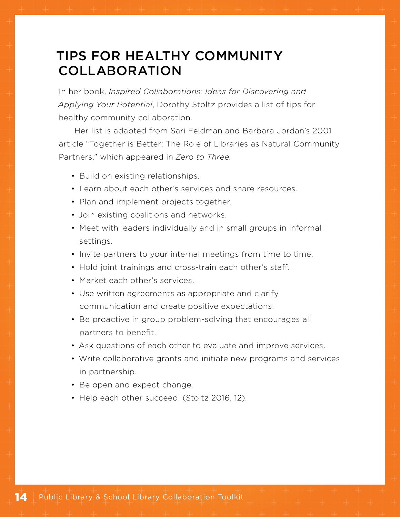# TIPS FOR HEALTHY COMMUNITY COLLABORATION

In her book, *Inspired Collaborations: Ideas for Discovering and Applying Your Potential*, Dorothy Stoltz provides a list of tips for healthy community collaboration.

Her list is adapted from Sari Feldman and Barbara Jordan's 2001 article "Together is Better: The Role of Libraries as Natural Community Partners," which appeared in *Zero to Three.*

- Build on existing relationships.
- Learn about each other's services and share resources.
- Plan and implement projects together.
- Join existing coalitions and networks.
- Meet with leaders individually and in small groups in informal settings.
- Invite partners to your internal meetings from time to time.
- Hold joint trainings and cross-train each other's staff.
- Market each other's services.
- Use written agreements as appropriate and clarify communication and create positive expectations.
- Be proactive in group problem-solving that encourages all partners to benefit.
- Ask questions of each other to evaluate and improve services.
- Write collaborative grants and initiate new programs and services in partnership.
- Be open and expect change.
- Help each other succeed. (Stoltz 2016, 12).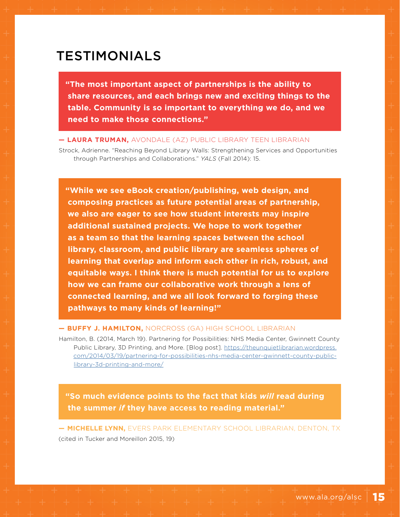## TESTIMONIALS

**"The most important aspect of partnerships is the ability to share resources, and each brings new and exciting things to the table. Community is so important to everything we do, and we need to make those connections."**

**— LAURA TRUMAN,** AVONDALE (AZ) PUBLIC LIBRARY TEEN LIBRARIAN

Strock, Adrienne. "Reaching Beyond Library Walls: Strengthening Services and Opportunities through Partnerships and Collaborations." *YALS* (Fall 2014): 15.

**"While we see eBook creation/publishing, web design, and composing practices as future potential areas of partnership, we also are eager to see how student interests may inspire additional sustained projects. We hope to work together as a team so that the learning spaces between the school library, classroom, and public library are seamless spheres of learning that overlap and inform each other in rich, robust, and equitable ways. I think there is much potential for us to explore how we can frame our collaborative work through a lens of connected learning, and we all look forward to forging these pathways to many kinds of learning!"**

#### **— BUFFY J. HAMILTON,** NORCROSS (GA) HIGH SCHOOL LIBRARIAN

Hamilton, B. (2014, March 19). Partnering for Possibilities: NHS Media Center, Gwinnett County Public Library, 3D Printing, and More. [Blog post]. [https://theunquietlibrarian.wordpress.](https://theunquietlibrarian.wordpress.com/2014/03/19/partnering-for-possibilities-nhs-media-center-gwinnett-county-public-library-3d-printing-and-more/) [com/2014/03/19/partnering-for-possibilities-nhs-media-center-gwinnett-county-public](https://theunquietlibrarian.wordpress.com/2014/03/19/partnering-for-possibilities-nhs-media-center-gwinnett-county-public-library-3d-printing-and-more/)[library-3d-printing-and-more/](https://theunquietlibrarian.wordpress.com/2014/03/19/partnering-for-possibilities-nhs-media-center-gwinnett-county-public-library-3d-printing-and-more/)

**"So much evidence points to the fact that kids** *will* **read during the summer** *if* **they have access to reading material."**

**— MICHELLE LYNN,** EVERS PARK ELEMENTARY SCHOOL LIBRARIAN, DENTON, TX (cited in Tucker and Moreillon 2015, 19)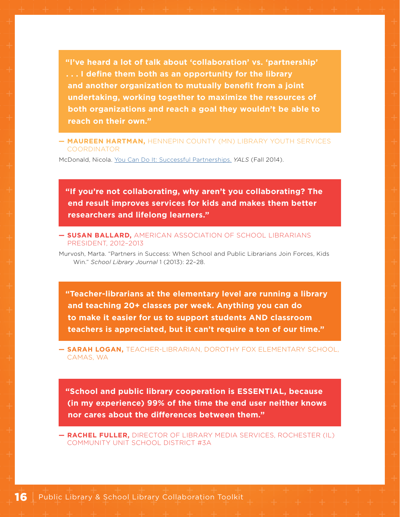**"I've heard a lot of talk about 'collaboration' vs. 'partnership' . . . I define them both as an opportunity for the library and another organization to mutually benefit from a joint undertaking, working together to maximize the resources of both organizations and reach a goal they wouldn't be able to reach on their own."**

**— MAUREEN HARTMAN,** HENNEPIN COUNTY (MN) LIBRARY YOUTH SERVICES COORDINATOR

McDonald, Nicola. [You Can Do It: Successful Partnerships.](http://www.yalsa.ala.org/yals/you-can-do-it-successful-partnerships/) *YALS* (Fall 2014).

**"If you're not collaborating, why aren't you collaborating? The end result improves services for kids and makes them better researchers and lifelong learners."**

#### **— SUSAN BALLARD,** AMERICAN ASSOCIATION OF SCHOOL LIBRARIANS PRESIDENT, 2012–2013

Murvosh, Marta. "Partners in Success: When School and Public Librarians Join Forces, Kids Win." *School Library Journal* 1 (2013): 22–28.

**"Teacher-librarians at the elementary level are running a library and teaching 20+ classes per week. Anything you can do to make it easier for us to support students AND classroom teachers is appreciated, but it can't require a ton of our time."**

**— SARAH LOGAN,** TEACHER-LIBRARIAN, DOROTHY FOX ELEMENTARY SCHOOL, CAMAS, WA

**"School and public library cooperation is ESSENTIAL, because (in my experience) 99% of the time the end user neither knows nor cares about the differences between them."**

**— RACHEL FULLER,** DIRECTOR OF LIBRARY MEDIA SERVICES, ROCHESTER (IL) COMMUNITY UNIT SCHOOL DISTRICT #3A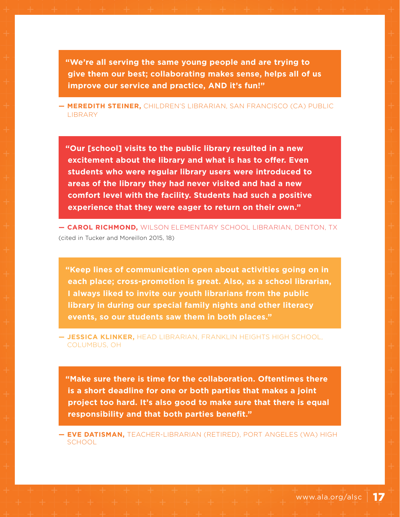**"We're all serving the same young people and are trying to give them our best; collaborating makes sense, helps all of us improve our service and practice, AND it's fun!"**

**— MEREDITH STEINER,** CHILDREN'S LIBRARIAN, SAN FRANCISCO (CA) PUBLIC **LIBRARY** 

**"Our [school] visits to the public library resulted in a new excitement about the library and what is has to offer. Even students who were regular library users were introduced to areas of the library they had never visited and had a new comfort level with the facility. Students had such a positive experience that they were eager to return on their own."**

**— CAROL RICHMOND,** WILSON ELEMENTARY SCHOOL LIBRARIAN, DENTON, TX (cited in Tucker and Moreillon 2015, 18)

**"Keep lines of communication open about activities going on in each place; cross-promotion is great. Also, as a school librarian, I always liked to invite our youth librarians from the public library in during our special family nights and other literacy events, so our students saw them in both places."**

**— JESSICA KLINKER,** HEAD LIBRARIAN, FRANKLIN HEIGHTS HIGH SCHOOL, COLUMBUS, OH

**"Make sure there is time for the collaboration. Oftentimes there is a short deadline for one or both parties that makes a joint project too hard. It's also good to make sure that there is equal responsibility and that both parties benefit."**

**— EVE DATISMAN,** TEACHER-LIBRARIAN (RETIRED), PORT ANGELES (WA) HIGH **SCHOOL**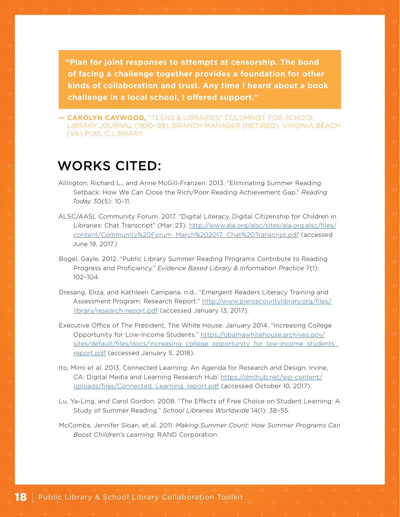**"Plan for joint responses to attempts at censorship. The bond of facing a challenge together provides a foundation for other kinds of collaboration and trust. Any time I heard about a book challenge in a local school, I offered support."**

**— CAROLYN CAYWOOD,** "TEENS & LIBRARIES" COLUMNIST FOR *SCHOOL LIBRARY JOURNAL* (1990–98); BRANCH MANAGER (RETIRED), VIRGINIA BEACH (VA) PUBLIC LIBRARY

## WORKS CITED:

- Allington, Richard L., and Anne McGill-Franzen. 2013. "Eliminating Summer Reading Setback: How We Can Close the Rich/Poor Reading Achievement Gap." *Reading Today* 30(5): 10–11.
- ALSC/AASL Community Forum. 2017. "Digital Literacy, Digital Citizenship for Children in Libraries: Chat Transcript" (Mar. 23). [http://www.ala.org/alsc/sites/ala.org.alsc/files/](http://www.ala.org/alsc/sites/ala.org.alsc/files/content/Community Forum_March 2017_Chat Transcript.pdf) [content/Community%20Forum\\_March%202017\\_Chat%20Transcript.pdf](http://www.ala.org/alsc/sites/ala.org.alsc/files/content/Community Forum_March 2017_Chat Transcript.pdf) (accessed June 19, 2017.)
- Bogel, Gayle. 2012. "Public Library Summer Reading Programs Contribute to Reading Progress and Proficiency." *Evidence Based Library & Information Practice* 7(1): 102–104.
- Dresang, Eliza, and Kathleen Campana. n.d., "Emergent Readers Literacy Training and Assessment Program: Research Report." [http://www.piercecountylibrary.org/files/](http://www.piercecountylibrary.org/files/library/research-report.pdf) [library/research-report.pdf](http://www.piercecountylibrary.org/files/library/research-report.pdf) (accessed January 13, 2017).
- Executive Office of The President, The White House. January 2014. "Increasing College Opportunity for Low-Income Students." [https://obamawhitehouse.archives.gov/](https://obamawhitehouse.archives.gov/sites/default/files/docs/increasing_college_opportunity_for_low-income_students_report.pdf) [sites/default/files/docs/increasing\\_college\\_opportunity\\_for\\_low-income\\_students\\_](https://obamawhitehouse.archives.gov/sites/default/files/docs/increasing_college_opportunity_for_low-income_students_report.pdf) [report.pdf](https://obamawhitehouse.archives.gov/sites/default/files/docs/increasing_college_opportunity_for_low-income_students_report.pdf) (accessed January 5, 2018).
- Ito, Mimi et al. 2013. Connected Learning: An Agenda for Research and Design. Irvine, CA: Digital Media and Learning Research Hub. [https://dmlhub.net/wp-content/](https://dmlhub.net/wp-content/uploads/files/Connected_Learning_report.pdf) [uploads/files/Connected\\_Learning\\_report.pdf](https://dmlhub.net/wp-content/uploads/files/Connected_Learning_report.pdf) (accessed October 10, 2017).
- Lu, Ya-Ling, and Carol Gordon. 2008. "The Effects of Free Choice on Student Learning: A Study of Summer Reading." *School Libraries Worldwide* 14(1): 38–55.
- McCombs, Jennifer Sloan, et al. 2011. *Making Summer Count: How Summer Programs Can Boost Children's Learning*. RAND Corporation.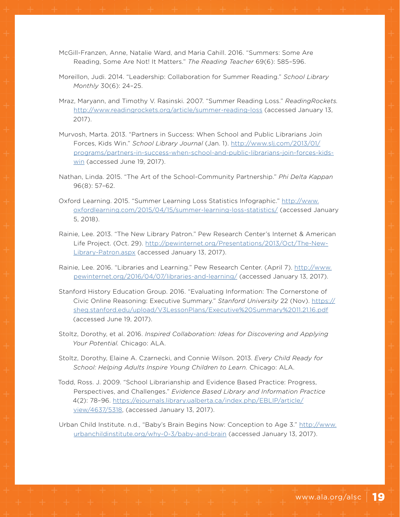- McGill-Franzen, Anne, Natalie Ward, and Maria Cahill. 2016. "Summers: Some Are Reading, Some Are Not! It Matters." *The Reading Teacher* 69(6): 585–596.
- Moreillon, Judi. 2014. "Leadership: Collaboration for Summer Reading." *School Library Monthly* 30(6): 24–25.
- Mraz, Maryann, and Timothy V. Rasinski. 2007. "Summer Reading Loss." *ReadingRockets.* <http://www.readingrockets.org/article/summer-reading-loss>(accessed January 13, 2017).
- Murvosh, Marta. 2013. "Partners in Success: When School and Public Librarians Join Forces, Kids Win." *School Library Journal* (Jan. 1). [http://www.slj.com/2013/01/](http://www.slj.com/2013/01/programs/partners-in-success-when-school-and-public-librarians-join-forces-kids-win) [programs/partners-in-success-when-school-and-public-librarians-join-forces-kids](http://www.slj.com/2013/01/programs/partners-in-success-when-school-and-public-librarians-join-forces-kids-win)[win](http://www.slj.com/2013/01/programs/partners-in-success-when-school-and-public-librarians-join-forces-kids-win) (accessed June 19, 2017).
- Nathan, Linda. 2015. "The Art of the School-Community Partnership." *Phi Delta Kappan* 96(8): 57–62.
- Oxford Learning. 2015. "Summer Learning Loss Statistics Infographic." [http://www.](http://www.oxfordlearning.com/2015/04/15/summer-learning-loss-statistics/) [oxfordlearning.com/2015/04/15/summer-learning-loss-statistics/](http://www.oxfordlearning.com/2015/04/15/summer-learning-loss-statistics/) (accessed January 5, 2018).
- Rainie, Lee. 2013. "The New Library Patron." Pew Research Center's Internet & American Life Project. (Oct. 29). [http://pewinternet.org/Presentations/2013/Oct/The-New-](http://pewinternet.org/Presentations/2013/Oct/The-New-Library-Patron.aspx)[Library-Patron.aspx](http://pewinternet.org/Presentations/2013/Oct/The-New-Library-Patron.aspx) (accessed January 13, 2017).
- Rainie, Lee. 2016. "Libraries and Learning." Pew Research Center. (April 7). [http://www.](http://www.pewinternet.org/2016/04/07/libraries-and-learning/) [pewinternet.org/2016/04/07/libraries-and-learning/](http://www.pewinternet.org/2016/04/07/libraries-and-learning/) (accessed January 13, 2017).
- Stanford History Education Group. 2016. "Evaluating Information: The Cornerstone of Civic Online Reasoning: Executive Summary." *Stanford University* 22 (Nov). [https://](https://sheg.stanford.edu/upload/V3LessonPlans/Executive%20Summary%2011.21.16.pdf) [sheg.stanford.edu/upload/V3LessonPlans/Executive%20Summary%2011.21.16.pdf](https://sheg.stanford.edu/upload/V3LessonPlans/Executive%20Summary%2011.21.16.pdf) (accessed June 19, 2017).
- Stoltz, Dorothy, et al. 2016. *Inspired Collaboration: Ideas for Discovering and Applying Your Potential.* Chicago: ALA.
- Stoltz, Dorothy, Elaine A. Czarnecki, and Connie Wilson. 2013. *Every Child Ready for School: Helping Adults Inspire Young Children to Learn.* Chicago: ALA.
- Todd, Ross. J. 2009. "School Librarianship and Evidence Based Practice: Progress, Perspectives, and Challenges." *Evidence Based Library and Information Practice* 4(2): 78–96. [https://ejournals.library.ualberta.ca/index.php/EBLIP/article/](https://ejournals.library.ualberta.ca/index.php/EBLIP/article/view/4637/5318) [view/4637/5318](https://ejournals.library.ualberta.ca/index.php/EBLIP/article/view/4637/5318), (accessed January 13, 2017).
- Urban Child Institute. n.d., "Baby's Brain Begins Now: Conception to Age 3." [http://www.](http://www.urbanchildinstitute.org/why-0-3/baby-and-brain) [urbanchildinstitute.org/why-0-3/baby-and-brain](http://www.urbanchildinstitute.org/why-0-3/baby-and-brain) (accessed January 13, 2017).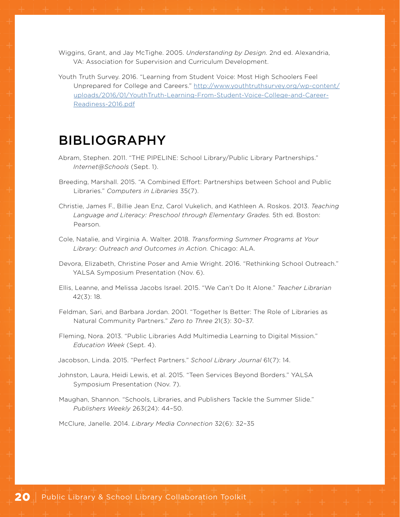Wiggins, Grant, and Jay McTighe. 2005. *Understanding by Design.* 2nd ed. Alexandria, VA: Association for Supervision and Curriculum Development.

Youth Truth Survey. 2016. "Learning from Student Voice: Most High Schoolers Feel Unprepared for College and Careers." [http://www.youthtruthsurvey.org/wp-content/](http://www.youthtruthsurvey.org/wp-content/uploads/2016/01/YouthTruth-Learning-From-Student-Voice-College-and-Career-Readiness-2016.pdf) [uploads/2016/01/YouthTruth-Learning-From-Student-Voice-College-and-Career-](http://www.youthtruthsurvey.org/wp-content/uploads/2016/01/YouthTruth-Learning-From-Student-Voice-College-and-Career-Readiness-2016.pdf)[Readiness-2016.pdf](http://www.youthtruthsurvey.org/wp-content/uploads/2016/01/YouthTruth-Learning-From-Student-Voice-College-and-Career-Readiness-2016.pdf)

## BIBLIOGRAPHY

- Abram, Stephen. 2011. "THE PIPELINE: School Library/Public Library Partnerships." *Internet@Schools* (Sept. 1).
- Breeding, Marshall. 2015. "A Combined Effort: Partnerships between School and Public Libraries." *Computers in Libraries* 35(7).
- Christie, James F., Billie Jean Enz, Carol Vukelich, and Kathleen A. Roskos. 2013. *Teaching Language and Literacy: Preschool through Elementary Grades.* 5th ed. Boston: Pearson.
- Cole, Natalie, and Virginia A. Walter. 2018. *Transforming Summer Programs at Your Library: Outreach and Outcomes in Action.* Chicago: ALA.
- Devora, Elizabeth, Christine Poser and Amie Wright. 2016. "Rethinking School Outreach." YALSA Symposium Presentation (Nov. 6).
- Ellis, Leanne, and Melissa Jacobs Israel. 2015. "We Can't Do It Alone." *Teacher Librarian* 42(3): 18.
- Feldman, Sari, and Barbara Jordan. 2001. "Together Is Better: The Role of Libraries as Natural Community Partners." *Zero to Three* 21(3): 30–37.
- Fleming, Nora. 2013. "Public Libraries Add Multimedia Learning to Digital Mission." *Education Week* (Sept. 4).

Jacobson, Linda. 2015. "Perfect Partners." *School Library Journal* 61(7): 14.

- Johnston, Laura, Heidi Lewis, et al. 2015. "Teen Services Beyond Borders." YALSA Symposium Presentation (Nov. 7).
- Maughan, Shannon. "Schools, Libraries, and Publishers Tackle the Summer Slide." *Publishers Weekly* 263(24): 44–50.

McClure, Janelle. 2014. *Library Media Connection* 32(6): 32–35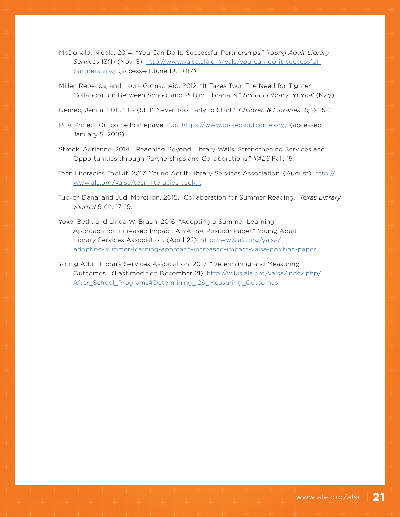- McDonald, Nicola. 2014. "You Can Do It: Successful Partnerships." *Young Adult Library Services* 13(1) (Nov. 3). [http://www.yalsa.ala.org/yals/you-can-do-it-successful](http://www.yalsa.ala.org/yals/you-can-do-it-successful-partnerships/)[partnerships/](http://www.yalsa.ala.org/yals/you-can-do-it-successful-partnerships/) (accessed June 19, 2017).
- Miller, Rebecca, and Laura Girmscheid. 2012. "It Takes Two: The Need for Tighter Collaboration Between School and Public Librarians." *School Library Journal* (May).

Nemec, Jenna. 2011. "It's (Still) Never Too Early to Start!" *Children & Libraries* 9(3): 15–21.

- PLA Project Outcome homepage. n.d.,<https://www.projectoutcome.org/> (accessed January 5, 2018).
- Strock, Adrienne. 2014. "Reaching Beyond Library Walls: Strengthening Services and Opportunities through Partnerships and Collaborations." *YALS* Fall: 15.
- Teen Literacies Toolkit. 2017. Young Adult Library Services Association. (August). [http://](http://www.ala.org/yalsa/teen-literacies-toolkit) [www.ala.org/yalsa/teen-literacies-toolkit.](http://www.ala.org/yalsa/teen-literacies-toolkit)
- Tucker, Dana, and Judi Moreillon. 2015. "Collaboration for Summer Reading." *Texas Library Journal* 91(1): 17–19.
- Yoke, Beth, and Linda W. Braun. 2016. "Adopting a Summer Learning Approach for Increased Impact: A YALSA Position Paper." Young Adult Library Services Association. (April 22). [http://www.ala.org/yalsa/](http://www.ala.org/yalsa/adopting-summer-learning-approach-increased-impact-yalsa-position-paper) [adopting-summer-learning-approach-increased-impact-yalsa-position-paper](http://www.ala.org/yalsa/adopting-summer-learning-approach-increased-impact-yalsa-position-paper).

Young Adult Library Services Association. 2017. "Determining and Measuring Outcomes." (Last modified December 21). [http://wikis.ala.org/yalsa/index.php/](http://wikis.ala.org/yalsa/index.php/After_School_Programs#Determining_.26_Measuring_Outcomes) After School Programs#Determining .26 Measuring Outcomes.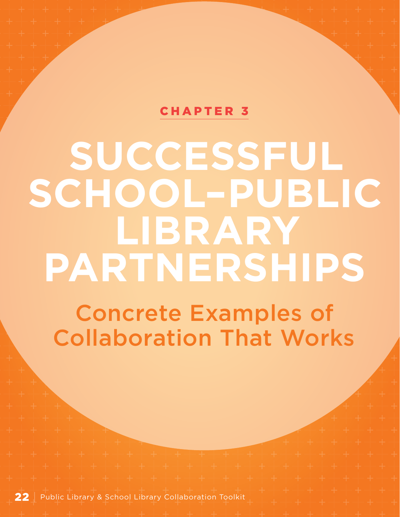## [CHAPTER 3](#page-1-0)

# <span id="page-23-0"></span>**SUCCESSFUL SCHOOL–PUBLIC LIBRARY PARTNERSHIPS**

Concrete Examples of Collaboration That Works

22 | Public Library & School Library Collaboration Toolkit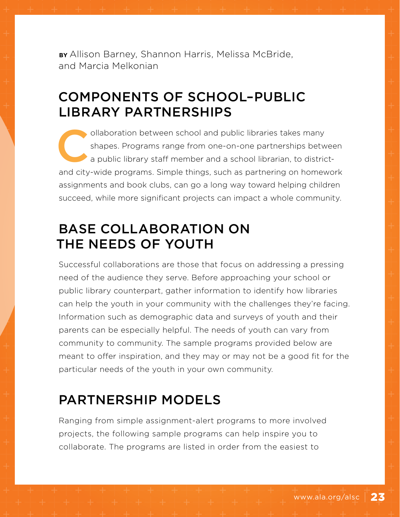**BY** Allison Barney, Shannon Harris, Melissa McBride, and Marcia Melkonian

# COMPONENTS OF SCHOOL–PUBLIC LIBRARY PARTNERSHIPS

ollaboration between school and public libraries takes many<br>shapes. Programs range from one-on-one partnerships betw<br>a public library staff member and a school librarian, to district<br>and eitherwise are such as partnering a shapes. Programs range from one-on-one partnerships between a public library staff member and a school librarian, to districtand city-wide programs. Simple things, such as partnering on homework assignments and book clubs, can go a long way toward helping children succeed, while more significant projects can impact a whole community.

# BASE COLLABORATION ON THE NEEDS OF YOUTH

Successful collaborations are those that focus on addressing a pressing need of the audience they serve. Before approaching your school or public library counterpart, gather information to identify how libraries can help the youth in your community with the challenges they're facing. Information such as demographic data and surveys of youth and their parents can be especially helpful. The needs of youth can vary from community to community. The sample programs provided below are meant to offer inspiration, and they may or may not be a good fit for the particular needs of the youth in your own community.

# PARTNERSHIP MODELS

Ranging from simple assignment-alert programs to more involved projects, the following sample programs can help inspire you to collaborate. The programs are listed in order from the easiest to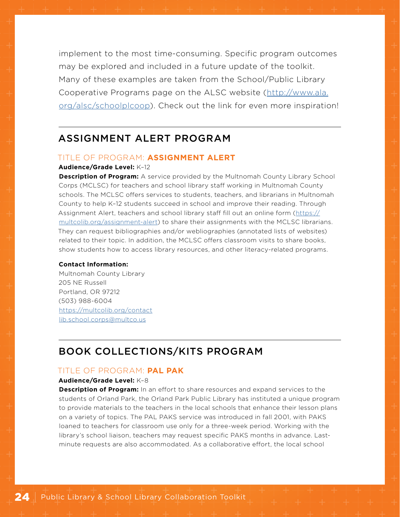implement to the most time-consuming. Specific program outcomes may be explored and included in a future update of the toolkit. Many of these examples are taken from the School/Public Library Cooperative Programs page on the ALSC website ([http://www.ala.](http://www.ala.org/alsc/schoolplcoop) [org/alsc/schoolplcoop\)](http://www.ala.org/alsc/schoolplcoop). Check out the link for even more inspiration!

## ASSIGNMENT ALERT PROGRAM

#### TITLE OF PROGRAM: **ASSIGNMENT ALERT**

#### **Audience/Grade Level:** K–12

**Description of Program:** A service provided by the Multnomah County Library School Corps (MCLSC) for teachers and school library staff working in Multnomah County schools. The MCLSC offers services to students, teachers, and librarians in Multnomah County to help K–12 students succeed in school and improve their reading. Through Assignment Alert, teachers and school library staff fill out an online form ([https://](https://multcolib.org/assignment-alert) [multcolib.org/assignment-alert](https://multcolib.org/assignment-alert)) to share their assignments with the MCLSC librarians. They can request bibliographies and/or webliographies (annotated lists of websites) related to their topic. In addition, the MCLSC offers classroom visits to share books, show students how to access library resources, and other literacy-related programs.

#### **Contact Information:**

Multnomah County Library 205 NE Russell Portland, OR 97212 (503) 988-6004 <https://multcolib.org/contact> [lib.school.corps@multco.us](mailto:lib.school.corps%40multco.us?subject=)

### BOOK COLLECTIONS/KITS PROGRAM

#### TITLE OF PROGRAM: **PAL PAK**

#### **Audience/Grade Level:** K–8

**Description of Program:** In an effort to share resources and expand services to the students of Orland Park, the Orland Park Public Library has instituted a unique program to provide materials to the teachers in the local schools that enhance their lesson plans on a variety of topics. The PAL PAKS service was introduced in fall 2001, with PAKS loaned to teachers for classroom use only for a three-week period. Working with the library's school liaison, teachers may request specific PAKS months in advance. Lastminute requests are also accommodated. As a collaborative effort, the local school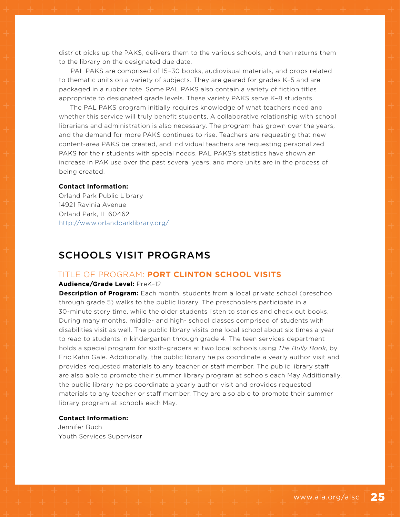district picks up the PAKS, delivers them to the various schools, and then returns them to the library on the designated due date.

PAL PAKS are comprised of 15–30 books, audiovisual materials, and props related to thematic units on a variety of subjects. They are geared for grades K–5 and are packaged in a rubber tote. Some PAL PAKS also contain a variety of fiction titles appropriate to designated grade levels. These variety PAKS serve K–8 students.

The PAL PAKS program initially requires knowledge of what teachers need and whether this service will truly benefit students. A collaborative relationship with school librarians and administration is also necessary. The program has grown over the years, and the demand for more PAKS continues to rise. Teachers are requesting that new content-area PAKS be created, and individual teachers are requesting personalized PAKS for their students with special needs. PAL PAKS's statistics have shown an increase in PAK use over the past several years, and more units are in the process of being created.

#### **Contact Information:**

Orland Park Public Library 14921 Ravinia Avenue Orland Park, IL 60462 <http://www.orlandparklibrary.org/>

### SCHOOLS VISIT PROGRAMS

#### TITLE OF PROGRAM: **PORT CLINTON SCHOOL VISITS**

#### **Audience/Grade Level:** PreK–12

**Description of Program:** Each month, students from a local private school (preschool through grade 5) walks to the public library. The preschoolers participate in a 30-minute story time, while the older students listen to stories and check out books. During many months, middle- and high- school classes comprised of students with disabilities visit as well. The public library visits one local school about six times a year to read to students in kindergarten through grade 4. The teen services department holds a special program for sixth-graders at two local schools using *The Bully Book,* by Eric Kahn Gale. Additionally, the public library helps coordinate a yearly author visit and provides requested materials to any teacher or staff member. The public library staff are also able to promote their summer library program at schools each May Additionally, the public library helps coordinate a yearly author visit and provides requested materials to any teacher or staff member. They are also able to promote their summer library program at schools each May.

#### **Contact Information:**

Jennifer Buch Youth Services Supervisor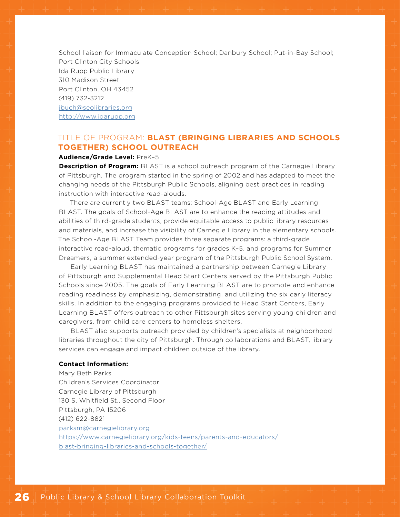School liaison for Immaculate Conception School; Danbury School; Put-in-Bay School; Port Clinton City Schools Ida Rupp Public Library 310 Madison Street Port Clinton, OH 43452 (419) 732-3212 [jbuch@seolibraries.org](mailto:jbuch%40seolibraries.org?subject=) <http://www.idarupp.org>

#### TITLE OF PROGRAM: **BLAST (BRINGING LIBRARIES AND SCHOOLS TOGETHER) SCHOOL OUTREACH**

#### **Audience/Grade Level:** PreK–5

**Description of Program:** BLAST is a school outreach program of the Carnegie Library of Pittsburgh. The program started in the spring of 2002 and has adapted to meet the changing needs of the Pittsburgh Public Schools, aligning best practices in reading instruction with interactive read-alouds.

There are currently two BLAST teams: School-Age BLAST and Early Learning BLAST. The goals of School-Age BLAST are to enhance the reading attitudes and abilities of third-grade students, provide equitable access to public library resources and materials, and increase the visibility of Carnegie Library in the elementary schools. The School-Age BLAST Team provides three separate programs: a third-grade interactive read-aloud, thematic programs for grades K–5, and programs for Summer Dreamers, a summer extended-year program of the Pittsburgh Public School System.

Early Learning BLAST has maintained a partnership between Carnegie Library of Pittsburgh and Supplemental Head Start Centers served by the Pittsburgh Public Schools since 2005. The goals of Early Learning BLAST are to promote and enhance reading readiness by emphasizing, demonstrating, and utilizing the six early literacy skills. In addition to the engaging programs provided to Head Start Centers, Early Learning BLAST offers outreach to other Pittsburgh sites serving young children and caregivers, from child care centers to homeless shelters.

BLAST also supports outreach provided by children's specialists at neighborhood libraries throughout the city of Pittsburgh. Through collaborations and BLAST, library services can engage and impact children outside of the library.

#### **Contact Information:**

Mary Beth Parks Children's Services Coordinator Carnegie Library of Pittsburgh 130 S. Whitfield St., Second Floor Pittsburgh, PA 15206 (412) 622-8821 [parksm@carnegielibrary.org](mailto:parksm%40carnegielibrary.org?subject=) [https://www.carnegielibrary.org/kids-teens/parents-and-educators/](https://www.carnegielibrary.org/kids-teens/parents-and-educators/blast-bringing-libraries-and-schools-together/) [blast-bringing-libraries-and-schools-together/](https://www.carnegielibrary.org/kids-teens/parents-and-educators/blast-bringing-libraries-and-schools-together/)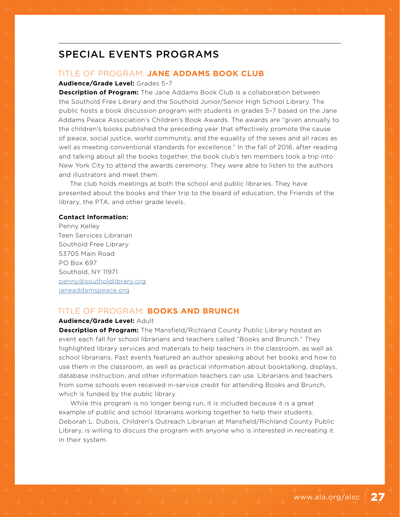## SPECIAL EVENTS PROGRAMS

#### TITLE OF PROGRAM: **JANE ADDAMS BOOK CLUB**

#### **Audience/Grade Level:** Grades 5–7

**Description of Program:** The Jane Addams Book Club is a collaboration between the Southold Free Library and the Southold Junior/Senior High School Library. The public hosts a book discussion program with students in grades 5–7 based on the Jane Addams Peace Association's Children's Book Awards. The awards are "given annually to the children's books published the preceding year that effectively promote the cause of peace, social justice, world community, and the equality of the sexes and all races as well as meeting conventional standards for excellence." In the fall of 2016, after reading and talking about all the books together, the book club's ten members took a trip into New York City to attend the awards ceremony. They were able to listen to the authors and illustrators and meet them.

The club holds meetings at both the school and public libraries. They have presented about the books and their trip to the board of education, the Friends of the library, the PTA, and other grade levels.

#### **Contact Information:**

Penny Kelley Teen Services Librarian Southold Free Library 53705 Main Road PO Box 697 Southold, NY 11971 [penny@southoldlibrary.org](mailto:penny%40southoldlibrary.org?subject=) [janeaddamspeace.org](http://janeaddamspeace.org)

#### TITLE OF PROGRAM: **BOOKS AND BRUNCH**

#### **Audience/Grade Level:** Adult

**Description of Program:** The Mansfield/Richland County Public Library hosted an event each fall for school librarians and teachers called "Books and Brunch." They highlighted library services and materials to help teachers in the classroom, as well as school librarians. Past events featured an author speaking about her books and how to use them in the classroom, as well as practical information about booktalking, displays, database instruction, and other information teachers can use. Librarians and teachers from some schools even received in-service credit for attending Books and Brunch, which is funded by the public library.

While this program is no longer being run, it is included because it is a great example of public and school librarians working together to help their students. Deborah L. Dubois, Children's Outreach Librarian at Mansfield/Richland County Public Library, is willing to discuss the program with anyone who is interested in recreating it in their system.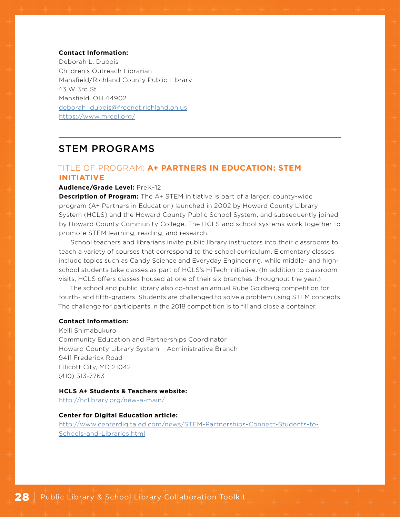#### **Contact Information:**

Deborah L. Dubois Children's Outreach Librarian Mansfield/Richland County Public Library 43 W 3rd St Mansfield, OH 44902 [deborah\\_dubois@freenet.richland.oh.us](mailto:deborah_dubois%40freenet.richland.oh.us?subject=) <https://www.mrcpl.org/>

### STEM PROGRAMS

#### TITLE OF PROGRAM: **A+ PARTNERS IN EDUCATION: STEM INITIATIVE**

#### **Audience/Grade Level:** PreK–12

**Description of Program:** The A+ STEM initiative is part of a larger, county-wide program (A+ Partners in Education) launched in 2002 by Howard County Library System (HCLS) and the Howard County Public School System, and subsequently joined by Howard County Community College. The HCLS and school systems work together to promote STEM learning, reading, and research.

School teachers and librarians invite public library instructors into their classrooms to teach a variety of courses that correspond to the school curriculum. Elementary classes include topics such as Candy Science and Everyday Engineering, while middle- and highschool students take classes as part of HCLS's HiTech initiative. (In addition to classroom visits, HCLS offers classes housed at one of their six branches throughout the year.)

The school and public library also co-host an annual Rube Goldberg competition for fourth- and fifth-graders. Students are challenged to solve a problem using STEM concepts. The challenge for participants in the 2018 competition is to fill and close a container.

#### **Contact Information:**

Kelli Shimabukuro Community Education and Partnerships Coordinator Howard County Library System – Administrative Branch 9411 Frederick Road Ellicott City, MD 21042 (410) 313-7763

#### **HCLS A+ Students & Teachers website:**

<http://hclibrary.org/new-a-main/>

#### **Center for Digital Education article:**

[http://www.centerdigitaled.com/news/STEM-Partnerships-Connect-Students-to-](http://www.centerdigitaled.com/news/STEM-Partnerships-Connect-Students-to-Schools-and-Libraries.html)[Schools-and-Libraries.html](http://www.centerdigitaled.com/news/STEM-Partnerships-Connect-Students-to-Schools-and-Libraries.html)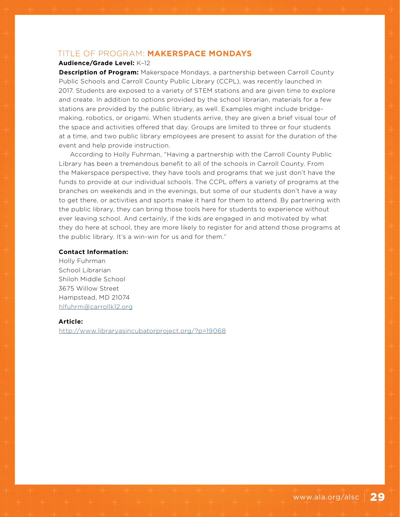#### TITLE OF PROGRAM: **MAKERSPACE MONDAYS**

#### **Audience/Grade Level:** K–12

**Description of Program:** Makerspace Mondays, a partnership between Carroll County Public Schools and Carroll County Public Library (CCPL), was recently launched in 2017. Students are exposed to a variety of STEM stations and are given time to explore and create. In addition to options provided by the school librarian, materials for a few stations are provided by the public library, as well. Examples might include bridgemaking, robotics, or origami. When students arrive, they are given a brief visual tour of the space and activities offered that day. Groups are limited to three or four students at a time, and two public library employees are present to assist for the duration of the event and help provide instruction.

According to Holly Fuhrman, "Having a partnership with the Carroll County Public Library has been a tremendous benefit to all of the schools in Carroll County. From the Makerspace perspective, they have tools and programs that we just don't have the funds to provide at our individual schools. The CCPL offers a variety of programs at the branches on weekends and in the evenings, but some of our students don't have a way to get there, or activities and sports make it hard for them to attend. By partnering with the public library, they can bring those tools here for students to experience without ever leaving school. And certainly, if the kids are engaged in and motivated by what they do here at school, they are more likely to register for and attend those programs at the public library. It's a win-win for us and for them."

#### **Contact Information:**

Holly Fuhrman School Librarian Shiloh Middle School 3675 Willow Street Hampstead, MD 21074 [hlfuhrm@carrollk12.org](mailto:hlfuhrm%40carrollk12.org?subject=)

#### **Article:**

<http://www.libraryasincubatorproject.org/?p=19068>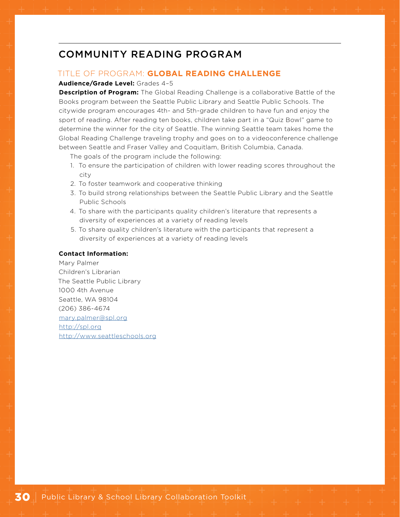## COMMUNITY READING PROGRAM

#### TITLE OF PROGRAM: **GLOBAL READING CHALLENGE**

#### **Audience/Grade Level:** Grades 4–5

**Description of Program:** The Global Reading Challenge is a collaborative Battle of the Books program between the Seattle Public Library and Seattle Public Schools. The citywide program encourages 4th- and 5th-grade children to have fun and enjoy the sport of reading. After reading ten books, children take part in a "Quiz Bowl" game to determine the winner for the city of Seattle. The winning Seattle team takes home the Global Reading Challenge traveling trophy and goes on to a videoconference challenge between Seattle and Fraser Valley and Coquitlam, British Columbia, Canada.

The goals of the program include the following:

- 1. To ensure the participation of children with lower reading scores throughout the city
- 2. To foster teamwork and cooperative thinking
- 3. To build strong relationships between the Seattle Public Library and the Seattle Public Schools
- 4. To share with the participants quality children's literature that represents a diversity of experiences at a variety of reading levels
- 5. To share quality children's literature with the participants that represent a diversity of experiences at a variety of reading levels

#### **Contact Information:**

Mary Palmer Children's Librarian The Seattle Public Library 1000 4th Avenue Seattle, WA 98104 (206) 386-4674 [mary.palmer@spl.org](mailto:mary.palmer%40spl.org?subject=) <http://spl.org> <http://www.seattleschools.org>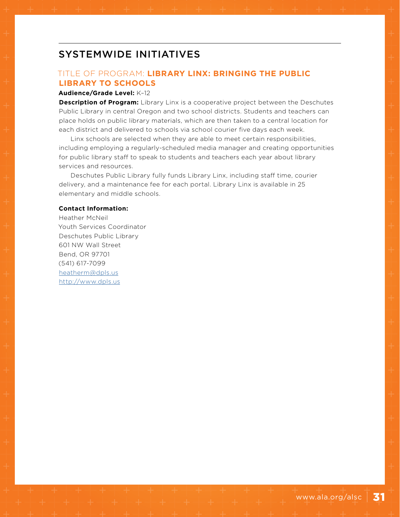## SYSTEMWIDE INITIATIVES

#### TITLE OF PROGRAM: **LIBRARY LINX: BRINGING THE PUBLIC LIBRARY TO SCHOOLS**

#### **Audience/Grade Level:** K–12

**Description of Program:** Library Linx is a cooperative project between the Deschutes Public Library in central Oregon and two school districts. Students and teachers can place holds on public library materials, which are then taken to a central location for each district and delivered to schools via school courier five days each week.

Linx schools are selected when they are able to meet certain responsibilities, including employing a regularly-scheduled media manager and creating opportunities for public library staff to speak to students and teachers each year about library services and resources.

Deschutes Public Library fully funds Library Linx, including staff time, courier delivery, and a maintenance fee for each portal. Library Linx is available in 25 elementary and middle schools.

#### **Contact Information:**

Heather McNeil Youth Services Coordinator Deschutes Public Library 601 NW Wall Street Bend, OR 97701 (541) 617-7099 [heatherm@dpls.us](mailto:heatherm%40dpls.us?subject=) <http://www.dpls.us>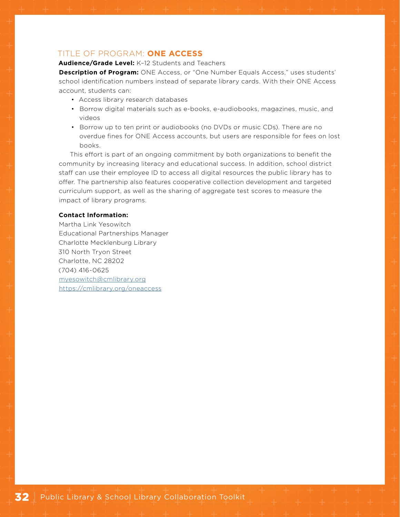#### TITLE OF PROGRAM: **ONE ACCESS**

#### **Audience/Grade Level:** K–12 Students and Teachers

**Description of Program:** ONE Access, or "One Number Equals Access," uses students' school identification numbers instead of separate library cards. With their ONE Access account, students can:

- Access library research databases
- Borrow digital materials such as e-books, e-audiobooks, magazines, music, and videos
- Borrow up to ten print or audiobooks (no DVDs or music CDs). There are no overdue fines for ONE Access accounts, but users are responsible for fees on lost books.

This effort is part of an ongoing commitment by both organizations to benefit the community by increasing literacy and educational success. In addition, school district staff can use their employee ID to access all digital resources the public library has to offer. The partnership also features cooperative collection development and targeted curriculum support, as well as the sharing of aggregate test scores to measure the impact of library programs.

#### **Contact Information:**

Martha Link Yesowitch Educational Partnerships Manager Charlotte Mecklenburg Library 310 North Tryon Street Charlotte, NC 28202 (704) 416-0625 [myesowitch@cmlibrary.org](mailto:myesowitch%40cmlibrary.org?subject=) <https://cmlibrary.org/oneaccess>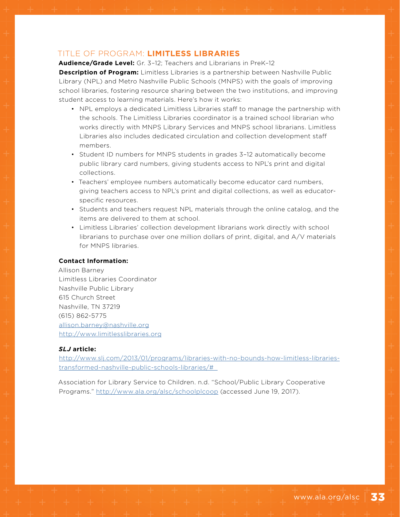#### TITLE OF PROGRAM: **LIMITLESS LIBRARIES**

**Audience/Grade Level:** Gr. 3–12; Teachers and Librarians in PreK–12

**Description of Program:** Limitless Libraries is a partnership between Nashville Public Library (NPL) and Metro Nashville Public Schools (MNPS) with the goals of improving school libraries, fostering resource sharing between the two institutions, and improving student access to learning materials. Here's how it works:

- NPL employs a dedicated Limitless Libraries staff to manage the partnership with the schools. The Limitless Libraries coordinator is a trained school librarian who works directly with MNPS Library Services and MNPS school librarians. Limitless Libraries also includes dedicated circulation and collection development staff members.
- Student ID numbers for MNPS students in grades 3–12 automatically become public library card numbers, giving students access to NPL's print and digital collections.
- Teachers' employee numbers automatically become educator card numbers, giving teachers access to NPL's print and digital collections, as well as educatorspecific resources.
- Students and teachers request NPL materials through the online catalog, and the items are delivered to them at school.
- Limitless Libraries' collection development librarians work directly with school librarians to purchase over one million dollars of print, digital, and A/V materials for MNPS libraries.

#### **Contact Information:**

Allison Barney Limitless Libraries Coordinator Nashville Public Library 615 Church Street Nashville, TN 37219 (615) 862-5775 [allison.barney@nashville.org](mailto:allison.barney%40nashville.org?subject=) <http://www.limitlesslibraries.org>

#### *SLJ* **article:**

[http://www.slj.com/2013/01/programs/libraries-with-no-bounds-how-limitless-libraries](http://www.slj.com/2013/01/programs/libraries-with-no-bounds-how-limitless-libraries-transformed-nas)[transformed-nashville-public-schools-libraries/#\\_](http://www.slj.com/2013/01/programs/libraries-with-no-bounds-how-limitless-libraries-transformed-nas)

Association for Library Service to Children. n.d. "School/Public Library Cooperative Programs." <http://www.ala.org/alsc/schoolplcoop> (accessed June 19, 2017).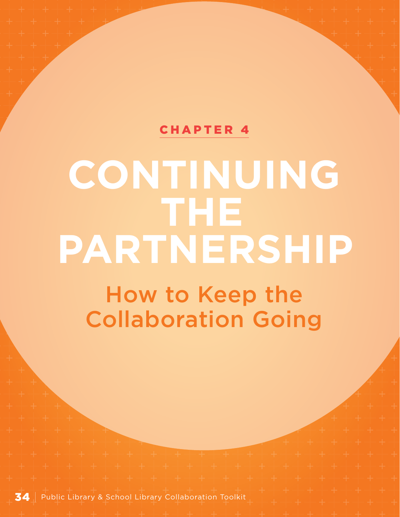## [CHAPTER 4](#page-1-0)

# <span id="page-35-0"></span>**CONTINUING THE PARTNERSHIP**

How to Keep the Collaboration Going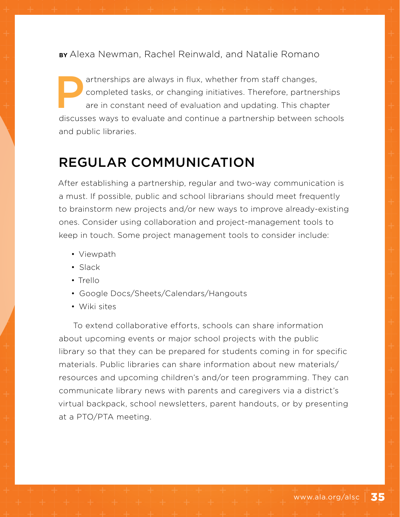**BY** Alexa Newman, Rachel Reinwald, and Natalie Romano

artnerships are always in flux, whether from staff changes,<br>completed tasks, or changing initiatives. Therefore, partner<br>are in constant need of evaluation and updating. This chap<br>discusses were to oveluate and continue a completed tasks, or changing initiatives. Therefore, partnerships are in constant need of evaluation and updating. This chapter discusses ways to evaluate and continue a partnership between schools and public libraries.

# REGULAR COMMUNICATION

After establishing a partnership, regular and two-way communication is a must. If possible, public and school librarians should meet frequently to brainstorm new projects and/or new ways to improve already-existing ones. Consider using collaboration and project-management tools to keep in touch. Some project management tools to consider include:

- Viewpath
- Slack
- Trello
- Google Docs/Sheets/Calendars/Hangouts
- Wiki sites

To extend collaborative efforts, schools can share information about upcoming events or major school projects with the public library so that they can be prepared for students coming in for specific materials. Public libraries can share information about new materials/ resources and upcoming children's and/or teen programming. They can communicate library news with parents and caregivers via a district's virtual backpack, school newsletters, parent handouts, or by presenting at a PTO/PTA meeting.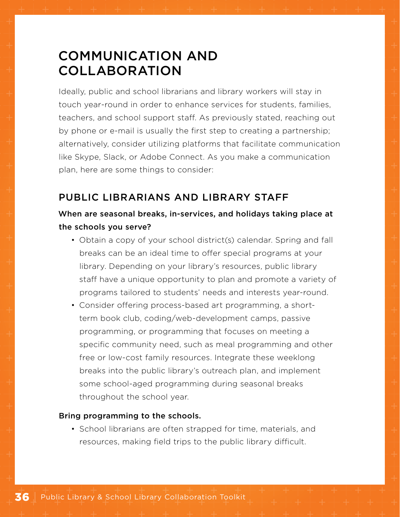# COMMUNICATION AND COLLABORATION

Ideally, public and school librarians and library workers will stay in touch year-round in order to enhance services for students, families, teachers, and school support staff. As previously stated, reaching out by phone or e-mail is usually the first step to creating a partnership; alternatively, consider utilizing platforms that facilitate communication like Skype, Slack, or Adobe Connect. As you make a communication plan, here are some things to consider:

## PUBLIC LIBRARIANS AND LIBRARY STAFF

## When are seasonal breaks, in-services, and holidays taking place at the schools you serve?

- Obtain a copy of your school district(s) calendar. Spring and fall breaks can be an ideal time to offer special programs at your library. Depending on your library's resources, public library staff have a unique opportunity to plan and promote a variety of programs tailored to students' needs and interests year-round.
- Consider offering process-based art programming, a shortterm book club, coding/web-development camps, passive programming, or programming that focuses on meeting a specific community need, such as meal programming and other free or low-cost family resources. Integrate these weeklong breaks into the public library's outreach plan, and implement some school-aged programming during seasonal breaks throughout the school year.

#### Bring programming to the schools.

• School librarians are often strapped for time, materials, and resources, making field trips to the public library difficult.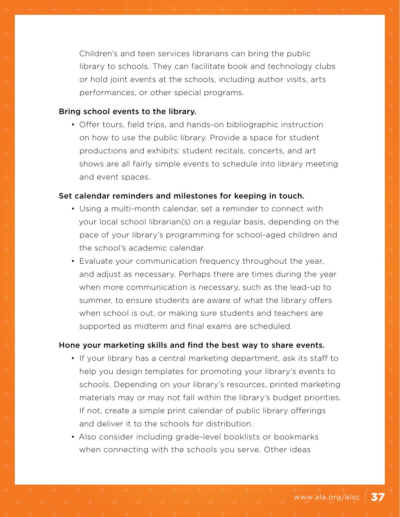Children's and teen services librarians can bring the public library to schools. They can facilitate book and technology clubs or hold joint events at the schools, including author visits, arts performances, or other special programs.

#### Bring school events to the library.

• Offer tours, field trips, and hands-on bibliographic instruction on how to use the public library. Provide a space for student productions and exhibits: student recitals, concerts, and art shows are all fairly simple events to schedule into library meeting and event spaces.

#### Set calendar reminders and milestones for keeping in touch.

- Using a multi-month calendar, set a reminder to connect with your local school librarian(s) on a regular basis, depending on the pace of your library's programming for school-aged children and the school's academic calendar.
- Evaluate your communication frequency throughout the year, and adjust as necessary. Perhaps there are times during the year when more communication is necessary, such as the lead-up to summer, to ensure students are aware of what the library offers when school is out, or making sure students and teachers are supported as midterm and final exams are scheduled.

#### Hone your marketing skills and find the best way to share events.

- If your library has a central marketing department, ask its staff to help you design templates for promoting your library's events to schools. Depending on your library's resources, printed marketing materials may or may not fall within the library's budget priorities. If not, create a simple print calendar of public library offerings and deliver it to the schools for distribution.
- Also consider including grade-level booklists or bookmarks when connecting with the schools you serve. Other ideas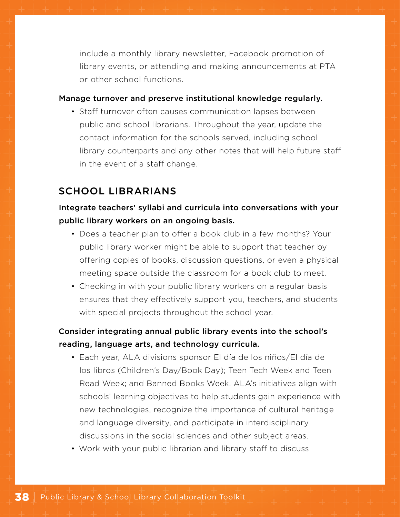include a monthly library newsletter, Facebook promotion of library events, or attending and making announcements at PTA or other school functions.

#### Manage turnover and preserve institutional knowledge regularly.

• Staff turnover often causes communication lapses between public and school librarians. Throughout the year, update the contact information for the schools served, including school library counterparts and any other notes that will help future staff in the event of a staff change.

## SCHOOL LIBRARIANS

## Integrate teachers' syllabi and curricula into conversations with your public library workers on an ongoing basis.

- Does a teacher plan to offer a book club in a few months? Your public library worker might be able to support that teacher by offering copies of books, discussion questions, or even a physical meeting space outside the classroom for a book club to meet.
- Checking in with your public library workers on a regular basis ensures that they effectively support you, teachers, and students with special projects throughout the school year.

## Consider integrating annual public library events into the school's reading, language arts, and technology curricula.

- Each year, ALA divisions sponsor El día de los niños/El día de los libros (Children's Day/Book Day); Teen Tech Week and Teen Read Week; and Banned Books Week. ALA's initiatives align with schools' learning objectives to help students gain experience with new technologies, recognize the importance of cultural heritage and language diversity, and participate in interdisciplinary discussions in the social sciences and other subject areas.
- Work with your public librarian and library staff to discuss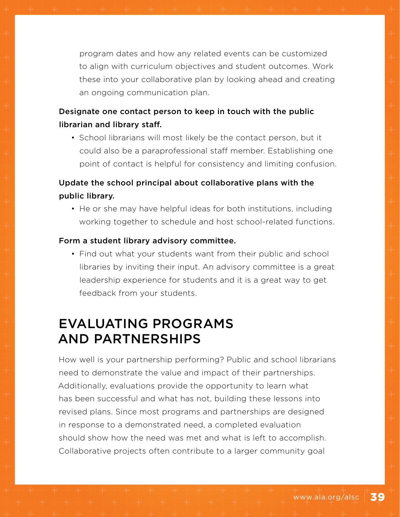program dates and how any related events can be customized to align with curriculum objectives and student outcomes. Work these into your collaborative plan by looking ahead and creating an ongoing communication plan.

## Designate one contact person to keep in touch with the public librarian and library staff.

• School librarians will most likely be the contact person, but it could also be a paraprofessional staff member. Establishing one point of contact is helpful for consistency and limiting confusion.

## Update the school principal about collaborative plans with the public library.

• He or she may have helpful ideas for both institutions, including working together to schedule and host school-related functions.

#### Form a student library advisory committee.

• Find out what your students want from their public and school libraries by inviting their input. An advisory committee is a great leadership experience for students and it is a great way to get feedback from your students.

## EVALUATING PROGRAMS AND PARTNERSHIPS

How well is your partnership performing? Public and school librarians need to demonstrate the value and impact of their partnerships. Additionally, evaluations provide the opportunity to learn what has been successful and what has not, building these lessons into revised plans. Since most programs and partnerships are designed in response to a demonstrated need, a completed evaluation should show how the need was met and what is left to accomplish. Collaborative projects often contribute to a larger community goal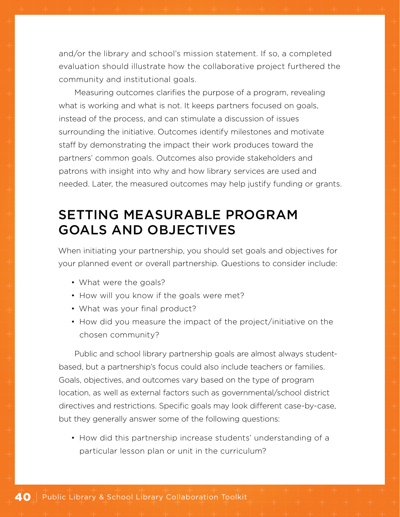and/or the library and school's mission statement. If so, a completed evaluation should illustrate how the collaborative project furthered the community and institutional goals.

Measuring outcomes clarifies the purpose of a program, revealing what is working and what is not. It keeps partners focused on goals, instead of the process, and can stimulate a discussion of issues surrounding the initiative. Outcomes identify milestones and motivate staff by demonstrating the impact their work produces toward the partners' common goals. Outcomes also provide stakeholders and patrons with insight into why and how library services are used and needed. Later, the measured outcomes may help justify funding or grants.

# SETTING MEASURABLE PROGRAM GOALS AND OBJECTIVES

When initiating your partnership, you should set goals and objectives for your planned event or overall partnership. Questions to consider include:

- What were the goals?
- How will you know if the goals were met?
- What was your final product?
- How did you measure the impact of the project/initiative on the chosen community?

Public and school library partnership goals are almost always studentbased, but a partnership's focus could also include teachers or families. Goals, objectives, and outcomes vary based on the type of program location, as well as external factors such as governmental/school district directives and restrictions. Specific goals may look different case-by-case, but they generally answer some of the following questions:

• How did this partnership increase students' understanding of a particular lesson plan or unit in the curriculum?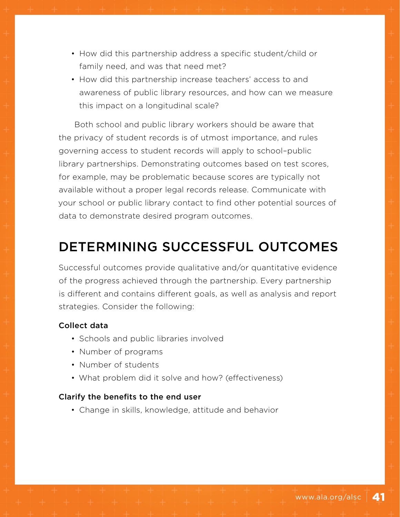- How did this partnership address a specific student/child or family need, and was that need met?
- How did this partnership increase teachers' access to and awareness of public library resources, and how can we measure this impact on a longitudinal scale?

Both school and public library workers should be aware that the privacy of student records is of utmost importance, and rules governing access to student records will apply to school–public library partnerships. Demonstrating outcomes based on test scores, for example, may be problematic because scores are typically not available without a proper legal records release. Communicate with your school or public library contact to find other potential sources of data to demonstrate desired program outcomes.

# DETERMINING SUCCESSFUL OUTCOMES

Successful outcomes provide qualitative and/or quantitative evidence of the progress achieved through the partnership. Every partnership is different and contains different goals, as well as analysis and report strategies. Consider the following:

#### Collect data

- Schools and public libraries involved
- Number of programs
- Number of students
- What problem did it solve and how? (effectiveness)

#### Clarify the benefits to the end user

• Change in skills, knowledge, attitude and behavior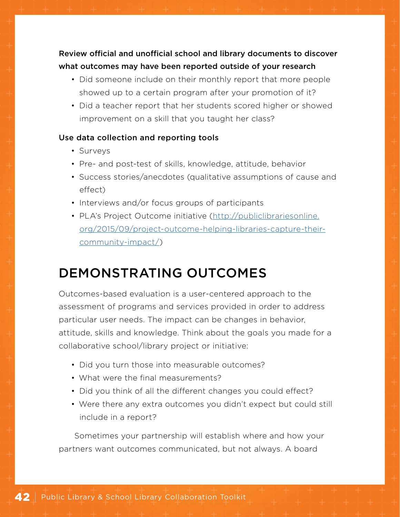## Review official and unofficial school and library documents to discover what outcomes may have been reported outside of your research

- Did someone include on their monthly report that more people showed up to a certain program after your promotion of it?
- Did a teacher report that her students scored higher or showed improvement on a skill that you taught her class?

#### Use data collection and reporting tools

- Surveys
- Pre- and post-test of skills, knowledge, attitude, behavior
- Success stories/anecdotes (qualitative assumptions of cause and effect)
- Interviews and/or focus groups of participants
- PLA's Project Outcome initiative ([http://publiclibrariesonline.](http://publiclibrariesonline.org/2015/09/project-outcome-helping-libraries-capture-their-community-i) [org/2015/09/project-outcome-helping-libraries-capture-their](http://publiclibrariesonline.org/2015/09/project-outcome-helping-libraries-capture-their-community-i)[community-impact/](http://publiclibrariesonline.org/2015/09/project-outcome-helping-libraries-capture-their-community-i))

# DEMONSTRATING OUTCOMES

Outcomes-based evaluation is a user-centered approach to the assessment of programs and services provided in order to address particular user needs. The impact can be changes in behavior, attitude, skills and knowledge. Think about the goals you made for a collaborative school/library project or initiative:

- Did you turn those into measurable outcomes?
- What were the final measurements?
- Did you think of all the different changes you could effect?
- Were there any extra outcomes you didn't expect but could still include in a report?

Sometimes your partnership will establish where and how your partners want outcomes communicated, but not always. A board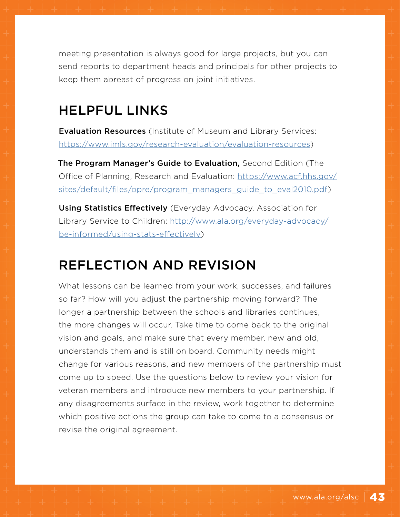meeting presentation is always good for large projects, but you can send reports to department heads and principals for other projects to keep them abreast of progress on joint initiatives.

# HELPFUL LINKS

**Evaluation Resources** (Institute of Museum and Library Services: <https://www.imls.gov/research-evaluation/evaluation-resources>)

The Program Manager's Guide to Evaluation, Second Edition (The Office of Planning, Research and Evaluation: [https://www.acf.hhs.gov/](https://www.acf.hhs.gov/sites/default/files/opre/program_managers_guide_to_eval2010.pdf) [sites/default/files/opre/program\\_managers\\_guide\\_to\\_eval2010.pdf\)](https://www.acf.hhs.gov/sites/default/files/opre/program_managers_guide_to_eval2010.pdf)

Using Statistics Effectively (Everyday Advocacy, Association for Library Service to Children: [http://www.ala.org/everyday-advocacy/](http://www.ala.org/everyday-advocacy/be-informed/using-stats-effectively) [be-informed/using-stats-effectively](http://www.ala.org/everyday-advocacy/be-informed/using-stats-effectively))

# REFLECTION AND REVISION

What lessons can be learned from your work, successes, and failures so far? How will you adjust the partnership moving forward? The longer a partnership between the schools and libraries continues, the more changes will occur. Take time to come back to the original vision and goals, and make sure that every member, new and old, understands them and is still on board. Community needs might change for various reasons, and new members of the partnership must come up to speed. Use the questions below to review your vision for veteran members and introduce new members to your partnership. If any disagreements surface in the review, work together to determine which positive actions the group can take to come to a consensus or revise the original agreement.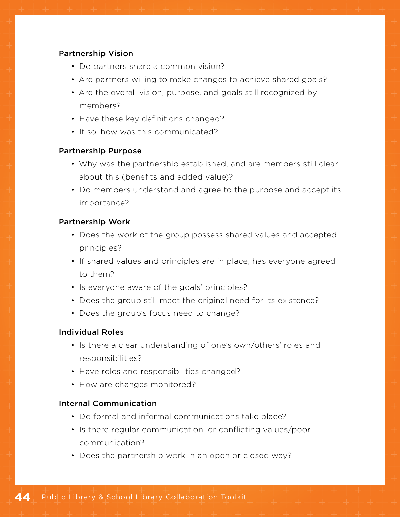#### Partnership Vision

- Do partners share a common vision?
- Are partners willing to make changes to achieve shared goals?
- Are the overall vision, purpose, and goals still recognized by members?
- Have these key definitions changed?
- If so, how was this communicated?

#### Partnership Purpose

- Why was the partnership established, and are members still clear about this (benefits and added value)?
- Do members understand and agree to the purpose and accept its importance?

#### Partnership Work

- Does the work of the group possess shared values and accepted principles?
- If shared values and principles are in place, has everyone agreed to them?
- Is everyone aware of the goals' principles?
- Does the group still meet the original need for its existence?
- Does the group's focus need to change?

#### Individual Roles

- Is there a clear understanding of one's own/others' roles and responsibilities?
- Have roles and responsibilities changed?
- How are changes monitored?

#### Internal Communication

- Do formal and informal communications take place?
- Is there regular communication, or conflicting values/poor communication?
- Does the partnership work in an open or closed way?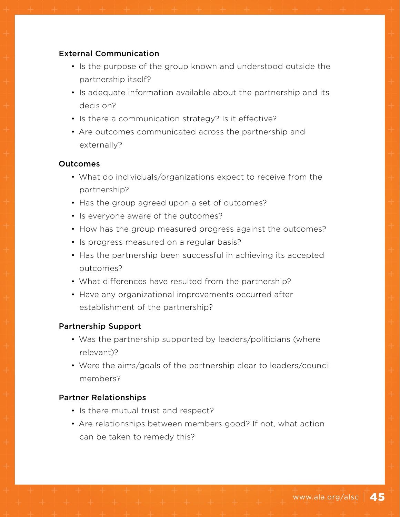#### External Communication

- Is the purpose of the group known and understood outside the partnership itself?
- Is adequate information available about the partnership and its decision?
- Is there a communication strategy? Is it effective?
- Are outcomes communicated across the partnership and externally?

#### Outcomes

- What do individuals/organizations expect to receive from the partnership?
- Has the group agreed upon a set of outcomes?
- Is everyone aware of the outcomes?
- How has the group measured progress against the outcomes?
- Is progress measured on a regular basis?
- Has the partnership been successful in achieving its accepted outcomes?
- What differences have resulted from the partnership?
- Have any organizational improvements occurred after establishment of the partnership?

#### Partnership Support

- Was the partnership supported by leaders/politicians (where relevant)?
- Were the aims/goals of the partnership clear to leaders/council members?

#### Partner Relationships

- Is there mutual trust and respect?
- Are relationships between members good? If not, what action can be taken to remedy this?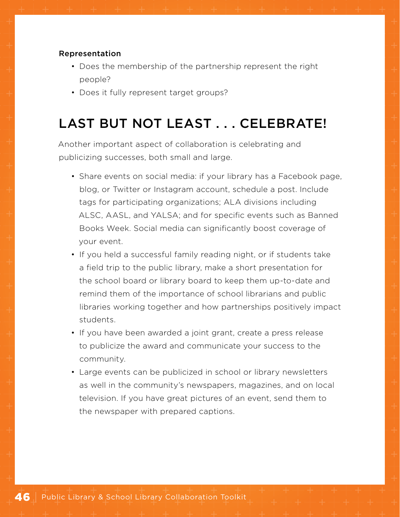#### Representation

- Does the membership of the partnership represent the right people?
- Does it fully represent target groups?

# LAST BUT NOT LEAST . . . CELEBRATE!

Another important aspect of collaboration is celebrating and publicizing successes, both small and large.

- Share events on social media: if your library has a Facebook page, blog, or Twitter or Instagram account, schedule a post. Include tags for participating organizations; ALA divisions including ALSC, AASL, and YALSA; and for specific events such as Banned Books Week. Social media can significantly boost coverage of your event.
- If you held a successful family reading night, or if students take a field trip to the public library, make a short presentation for the school board or library board to keep them up-to-date and remind them of the importance of school librarians and public libraries working together and how partnerships positively impact students.
- If you have been awarded a joint grant, create a press release to publicize the award and communicate your success to the community.
- Large events can be publicized in school or library newsletters as well in the community's newspapers, magazines, and on local television. If you have great pictures of an event, send them to the newspaper with prepared captions.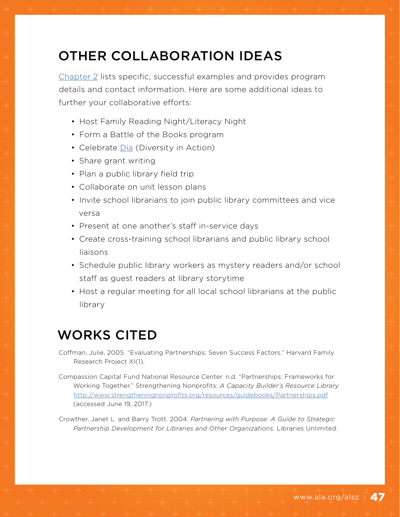# OTHER COLLABORATION IDEAS

[Chapter 2](#page-7-0) lists specific, successful examples and provides program details and contact information. Here are some additional ideas to further your collaborative efforts:

- Host Family Reading Night/Literacy Night
- Form a Battle of the Books program
- Celebrate [Día](http://dia.ala.org/) (Diversity in Action)
- Share grant writing
- Plan a public library field trip
- Collaborate on unit lesson plans
- Invite school librarians to join public library committees and vice versa
- Present at one another's staff in-service days
- Create cross-training school librarians and public library school liaisons
- Schedule public library workers as mystery readers and/or school staff as guest readers at library storytime
- Host a regular meeting for all local school librarians at the public library

# WORKS CITED

- Coffman, Julie, 2005. "Evaluating Partnerships: Seven Success Factors." Harvard Family Research Project XI(1).
- Compassion Capital Fund National Resource Center. n.d. "Partnerships: Frameworks for Working Together." Strengthening Nonprofits: *A Capacity Builder's Resource Library.*  <http://www.strengtheningnonprofits.org/resources/guidebooks/Partnerships.pdf> (accessed June 19, 2017.)
- Crowther, Janet L. and Barry Trott. 2004. *Partnering with Purpose: A Guide to Strategic Partnership Development for Libraries and Other Organizations.* Libraries Unlimited.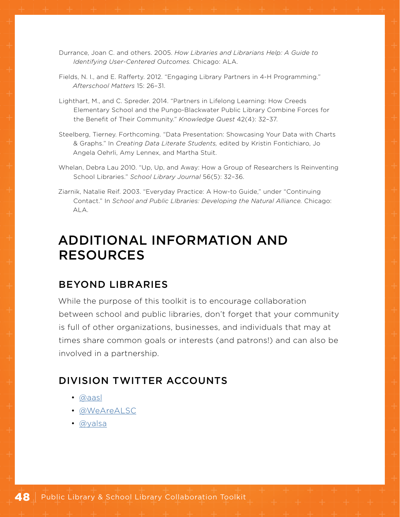- Durrance, Joan C. and others. 2005. *How Libraries and Librarians Help: A Guide to Identifying User-Centered Outcomes.* Chicago: ALA.
- Fields, N. I., and E. Rafferty. 2012. "Engaging Library Partners in 4-H Programming." *Afterschool Matters* 15: 26–31.
- Lighthart, M., and C. Spreder. 2014. "Partners in Lifelong Learning: How Creeds Elementary School and the Pungo-Blackwater Public Library Combine Forces for the Benefit of Their Community." *Knowledge Quest* 42(4): 32–37.
- Steelberg, Tierney. Forthcoming. "Data Presentation: Showcasing Your Data with Charts & Graphs." In *Creating Data Literate Students,* edited by Kristin Fontichiaro, Jo Angela Oehrli, Amy Lennex, and Martha Stuit.
- Whelan, Debra Lau 2010. "Up, Up, and Away: How a Group of Researchers Is Reinventing School Libraries." *School Library Journal* 56(5): 32–36.
- Ziarnik, Natalie Reif. 2003. "Everyday Practice: A How-to Guide," under "Continuing Contact." In *School and Public LIbraries: Developing the Natural Alliance.* Chicago: ALA.

## ADDITIONAL INFORMATION AND RESOURCES

### BEYOND LIBRARIES

While the purpose of this toolkit is to encourage collaboration between school and public libraries, don't forget that your community is full of other organizations, businesses, and individuals that may at times share common goals or interests (and patrons!) and can also be involved in a partnership.

## DIVISION TWITTER ACCOUNTS

- [@aasl](https://twitter.com/aasl?ref_src=twsrc%5Egoogle%7Ctwcamp%5Eserp%7Ctwgr%5Eauthor)
- [@WeAreALSC](https://twitter.com/wearealsc)
- [@yalsa](https://twitter.com/yalsa)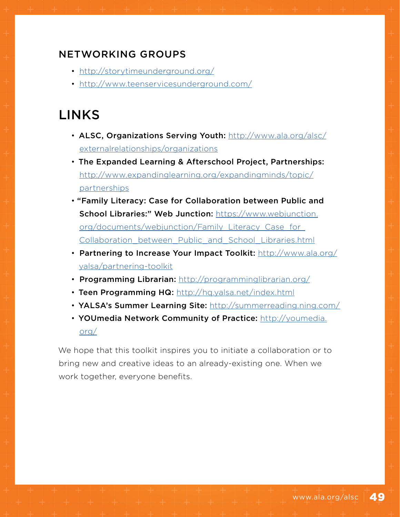## NETWORKING GROUPS

- <http://storytimeunderground.org/>
- <http://www.teenservicesunderground.com/>

# LINKS

- ALSC, Organizations Serving Youth: [http://www.ala.org/alsc/](http://www.ala.org/alsc/externalrelationships/organizations) [externalrelationships/organizations](http://www.ala.org/alsc/externalrelationships/organizations)
- The Expanded Learning & Afterschool Project, Partnerships: [http://www.expandinglearning.org/expandingminds/topic/](http://www.expandinglearning.org/expandingminds/topic/partnerships) [partnerships](http://www.expandinglearning.org/expandingminds/topic/partnerships)
- "Family Literacy: Case for Collaboration between Public and School Libraries:" Web Junction: [https://www.webjunction.](https://www.webjunction.org/documents/webjunction/Family_Literacy_Case_for_Collaboration_between_Pub) [org/documents/webjunction/Family\\_Literacy\\_Case\\_for\\_](https://www.webjunction.org/documents/webjunction/Family_Literacy_Case_for_Collaboration_between_Pub) [Collaboration\\_between\\_Public\\_and\\_School\\_Libraries.html](https://www.webjunction.org/documents/webjunction/Family_Literacy_Case_for_Collaboration_between_Pub)
- Partnering to Increase Your Impact Toolkit: [http://www.ala.org/](http://www.ala.org/yalsa/partnering-toolkit) [yalsa/partnering-toolkit](http://www.ala.org/yalsa/partnering-toolkit)
- Programming Librarian: [http://programminglibrarian.org/](http://programminglibrarian.org/  )
- Teen Programming HQ: <http://hq.yalsa.net/index.html>
- YALSA's Summer Learning Site: [http://summerreading.ning.com/](http://summerreading.ning.com/  )
- YOUmedia Network Community of Practice: [http://youmedia.](http://youmedia.org/) [org/](http://youmedia.org/)

We hope that this toolkit inspires you to initiate a collaboration or to bring new and creative ideas to an already-existing one. When we work together, everyone benefits.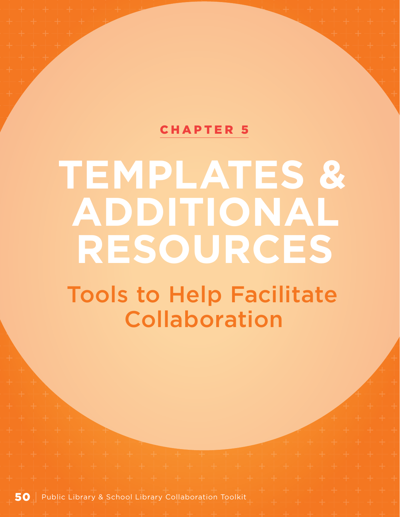## [CHAPTER 5](#page-1-0)

# <span id="page-51-0"></span>**TEMPLATES & ADDITIONAL RESOURCES**

Tools to Help Facilitate Collaboration

50 | Public Library & School Library Collaboration Toolkit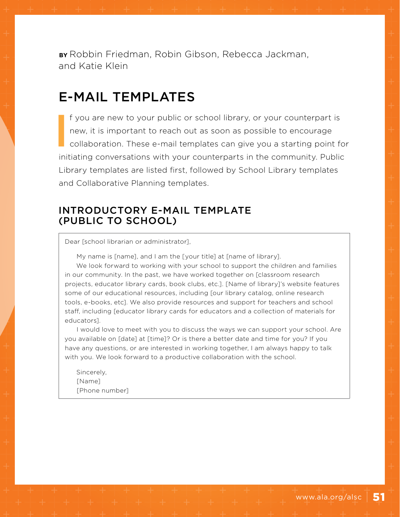**BY** Robbin Friedman, Robin Gibson, Rebecca Jackman, and Katie Klein

## E-MAIL TEMPLATES

**I** f you are new to your public or school library, or your counterpart is new, it is important to reach out as soon as possible to encourage collaboration. These e-mail templates can give you a starting point for initiating conversations with your counterparts in the community. Public Library templates are listed first, followed by School Library templates and Collaborative Planning templates.

### INTRODUCTORY E-MAIL TEMPLATE (PUBLIC TO SCHOOL)

Dear [school librarian or administrator],

My name is [name], and I am the [your title] at [name of library].

We look forward to working with your school to support the children and families in our community. In the past, we have worked together on [classroom research projects, educator library cards, book clubs, etc.]. [Name of library]'s website features some of our educational resources, including [our library catalog, online research tools, e-books, etc]. We also provide resources and support for teachers and school staff, including [educator library cards for educators and a collection of materials for educators].

I would love to meet with you to discuss the ways we can support your school. Are you available on [date] at [time]? Or is there a better date and time for you? If you have any questions, or are interested in working together, I am always happy to talk with you. We look forward to a productive collaboration with the school.

Sincerely, [Name] [Phone number]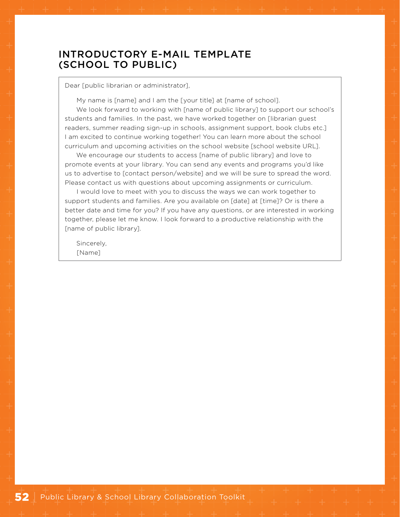## INTRODUCTORY E-MAIL TEMPLATE (SCHOOL TO PUBLIC)

Dear [public librarian or administrator],

My name is [name] and I am the [your title] at [name of school].

We look forward to working with [name of public library] to support our school's students and families. In the past, we have worked together on [librarian guest readers, summer reading sign-up in schools, assignment support, book clubs etc.] I am excited to continue working together! You can learn more about the school curriculum and upcoming activities on the school website [school website URL].

We encourage our students to access [name of public library] and love to promote events at your library. You can send any events and programs you'd like us to advertise to [contact person/website] and we will be sure to spread the word. Please contact us with questions about upcoming assignments or curriculum.

I would love to meet with you to discuss the ways we can work together to support students and families. Are you available on [date] at [time]? Or is there a better date and time for you? If you have any questions, or are interested in working together, please let me know. I look forward to a productive relationship with the [name of public library].

Sincerely, [Name]

52 | Public Library & School Library Collaboration Toolkit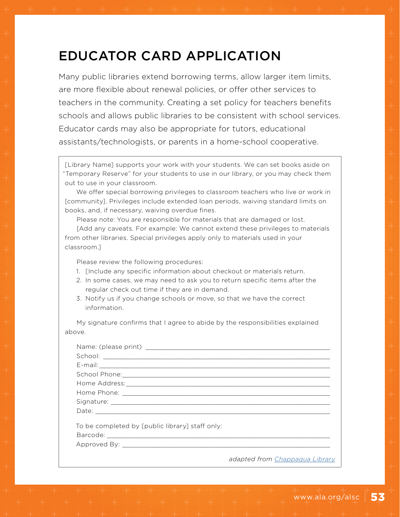# EDUCATOR CARD APPLICATION

Many public libraries extend borrowing terms, allow larger item limits, are more flexible about renewal policies, or offer other services to teachers in the community. Creating a set policy for teachers benefits schools and allows public libraries to be consistent with school services. Educator cards may also be appropriate for tutors, educational assistants/technologists, or parents in a home-school cooperative.

[Library Name] supports your work with your students. We can set books aside on "Temporary Reserve" for your students to use in our library, or you may check them out to use in your classroom.

We offer special borrowing privileges to classroom teachers who live or work in [community]. Privileges include extended loan periods, waiving standard limits on books, and, if necessary, waiving overdue fines.

Please note: You are responsible for materials that are damaged or lost.

[Add any caveats. For example: We cannot extend these privileges to materials from other libraries. Special privileges apply only to materials used in your classroom.]

Please review the following procedures:

- 1. [Include any specific information about checkout or materials return.
- 2. In some cases, we may need to ask you to return specific items after the regular check out time if they are in demand.
- 3. Notify us if you change schools or move, so that we have the correct information.

My signature confirms that I agree to abide by the responsibilities explained above.

| To be completed by [public library] staff only: |                                |
|-------------------------------------------------|--------------------------------|
|                                                 |                                |
|                                                 | adapted from Chappagua Library |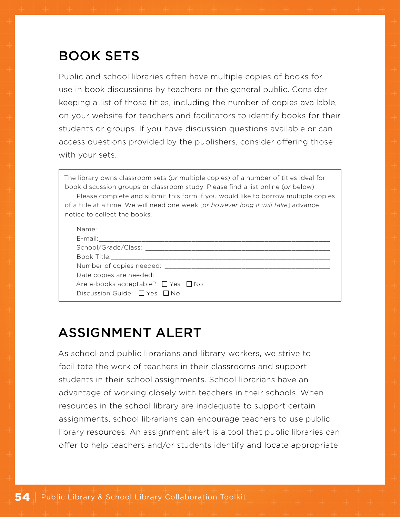# BOOK SETS

Public and school libraries often have multiple copies of books for use in book discussions by teachers or the general public. Consider keeping a list of those titles, including the number of copies available, on your website for teachers and facilitators to identify books for their students or groups. If you have discussion questions available or can access questions provided by the publishers, consider offering those with your sets.

The library owns classroom sets (*or* multiple copies) of a number of titles ideal for book discussion groups or classroom study. Please find a list online (*or* below).

Please complete and submit this form if you would like to borrow multiple copies of a title at a time. We will need one week [*or however long it will take*] advance notice to collect the books.

| Name: Name                                                                                                          |  |
|---------------------------------------------------------------------------------------------------------------------|--|
| E-mail:                                                                                                             |  |
| School/Grade/Class:                                                                                                 |  |
| Book Title: The Solid State State State State State State State State State State State State State State State Sta |  |
| Number of copies needed:                                                                                            |  |
| Date copies are needed:                                                                                             |  |
| Are e-books acceptable? $\Box$ Yes $\Box$ No                                                                        |  |
| Discussion Guide: □ Yes □ No                                                                                        |  |

# ASSIGNMENT ALERT

As school and public librarians and library workers, we strive to facilitate the work of teachers in their classrooms and support students in their school assignments. School librarians have an advantage of working closely with teachers in their schools. When resources in the school library are inadequate to support certain assignments, school librarians can encourage teachers to use public library resources. An assignment alert is a tool that public libraries can offer to help teachers and/or students identify and locate appropriate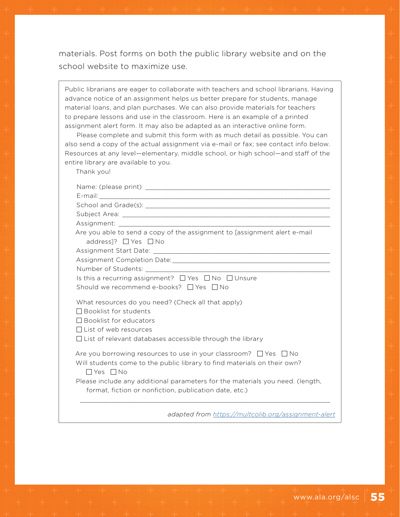materials. Post forms on both the public library website and on the school website to maximize use.

Public librarians are eager to collaborate with teachers and school librarians. Having advance notice of an assignment helps us better prepare for students, manage material loans, and plan purchases. We can also provide materials for teachers to prepare lessons and use in the classroom. Here is an example of a printed assignment alert form. It may also be adapted as an interactive online form.

Please complete and submit this form with as much detail as possible. You can also send a copy of the actual assignment via e-mail or fax; see contact info below. Resources at any level—elementary, middle school, or high school—and staff of the entire library are available to you.

Thank you!

| Are you able to send a copy of the assignment to [assignment alert e-mail<br>address]? $\Box$ Yes $\Box$ No                                                                                                             |
|-------------------------------------------------------------------------------------------------------------------------------------------------------------------------------------------------------------------------|
|                                                                                                                                                                                                                         |
|                                                                                                                                                                                                                         |
|                                                                                                                                                                                                                         |
| Is this a recurring assignment? □ Yes □ No □ Unsure                                                                                                                                                                     |
| Should we recommend e-books? $\Box$ Yes $\Box$ No                                                                                                                                                                       |
| What resources do you need? (Check all that apply)<br>$\Box$ Booklist for students<br>$\Box$ Booklist for educators<br>$\Box$ List of web resources<br>$\Box$ List of relevant databases accessible through the library |
| Are you borrowing resources to use in your classroom? $\Box$ Yes $\Box$ No<br>Will students come to the public library to find materials on their own?<br>$\Box$ Yes $\Box$ No                                          |
| Please include any additional parameters for the materials you need. (length,<br>format, fiction or nonfiction, publication date, etc.)                                                                                 |
| adapted from https://multcolib.org/assignment-alert                                                                                                                                                                     |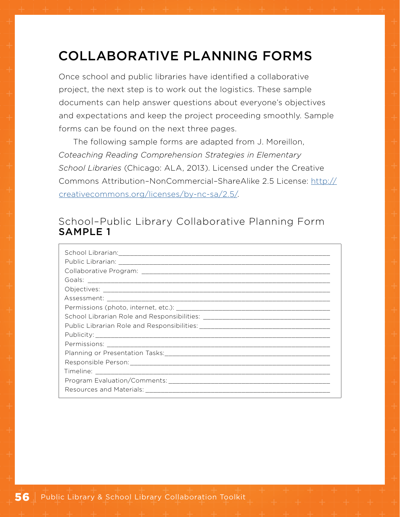## <span id="page-57-0"></span>COLLABORATIVE PLANNING FORMS

Once school and public libraries have identified a collaborative project, the next step is to work out the logistics. These sample documents can help answer questions about everyone's objectives and expectations and keep the project proceeding smoothly. Sample forms can be found on the next three pages.

The following sample forms are adapted from J. Moreillon, *Coteaching Reading Comprehension Strategies in Elementary School Libraries* (Chicago: ALA, 2013). Licensed under the Creative Commons Attribution–NonCommercial–ShareAlike 2.5 License: [http://](http://creativecommons.org/licenses/by-nc-sa/2.5/) [creativecommons.org/licenses/by-nc-sa/2.5/](http://creativecommons.org/licenses/by-nc-sa/2.5/).

## School–Public Library Collaborative Planning Form SAMPLE 1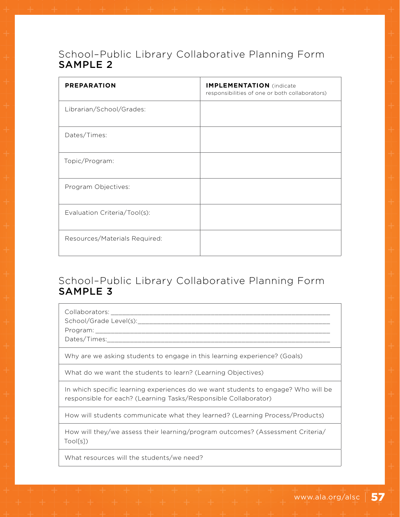## School–Public Library Collaborative Planning Form SAMPLE 2

| <b>PREPARATION</b>            | <b>IMPLEMENTATION</b> (indicate<br>responsibilities of one or both collaborators) |
|-------------------------------|-----------------------------------------------------------------------------------|
| Librarian/School/Grades:      |                                                                                   |
| Dates/Times:                  |                                                                                   |
| Topic/Program:                |                                                                                   |
| Program Objectives:           |                                                                                   |
| Evaluation Criteria/Tool(s):  |                                                                                   |
| Resources/Materials Required: |                                                                                   |

## School–Public Library Collaborative Planning Form SAMPLE 3

Collaborators:

School/Grade Level(s):\_\_\_\_\_\_\_\_\_\_\_\_\_\_\_\_\_\_\_\_\_\_\_\_\_\_\_\_\_\_\_\_\_\_\_\_\_\_\_\_\_\_\_\_\_\_\_\_\_\_

Program: \_\_\_\_\_\_\_\_\_\_\_\_\_\_\_\_\_\_\_\_\_\_\_\_\_\_\_\_\_\_\_\_\_\_\_\_\_\_\_\_\_\_\_\_\_\_\_\_\_\_\_\_\_\_\_\_\_\_\_\_\_

Dates/Times:

Why are we asking students to engage in this learning experience? (Goals)

What do we want the students to learn? (Learning Objectives)

In which specific learning experiences do we want students to engage? Who will be responsible for each? (Learning Tasks/Responsible Collaborator)

How will students communicate what they learned? (Learning Process/Products)

How will they/we assess their learning/program outcomes? (Assessment Criteria/ Tool[s])

What resources will the students/we need?